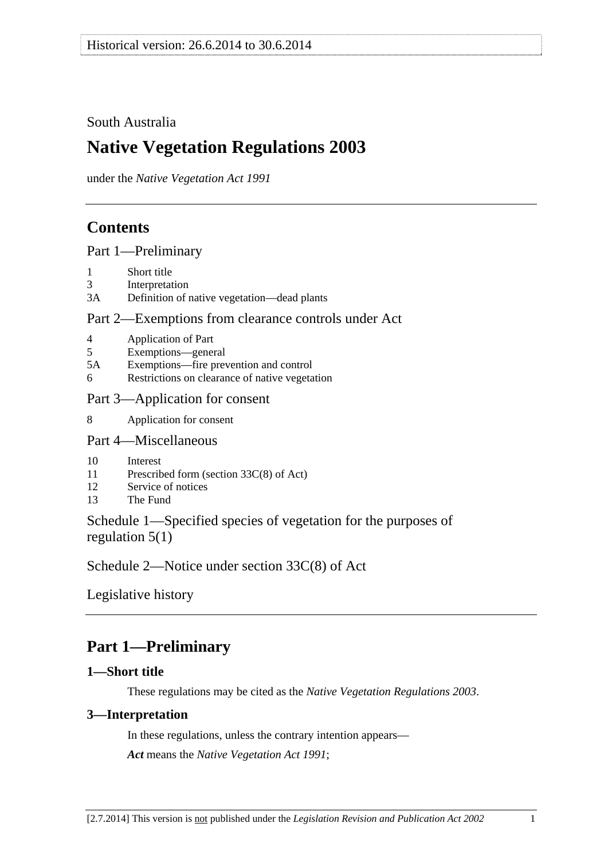## <span id="page-0-0"></span>South Australia

# **Native Vegetation Regulations 2003**

under the *Native Vegetation Act 1991*

## **Contents**

[Part 1—Preliminary](#page-0-0)

- [1 Short title](#page-0-0)
- [3 Interpretation](#page-0-0)
- [3A Definition of native vegetation—dead plants](#page-1-0)

### [Part 2—Exemptions from clearance controls under Act](#page-2-0)

- [4 Application of Part](#page-2-0)
- [5 Exemptions—general](#page-2-0)
- [5A Exemptions—fire prevention and control](#page-21-0)
- [6 Restrictions on clearance of native vegetation](#page-24-0)

### [Part 3—Application for consent](#page-25-0)

[8 Application for consent](#page-25-0) 

### [Part 4—Miscellaneous](#page-25-0)

- [10 Interest](#page-25-0)
- [11 Prescribed form \(section 33C\(8\) of Act\)](#page-26-0)
- [12 Service of notices](#page-26-0)
- [13 The Fund](#page-26-0)

Schedule 1—Specified species of vegetation for the purposes of regulation 5(1)

Schedule 2—Notice under section 33C(8) of Act

Legislative history

# **Part 1—Preliminary**

### **1—Short title**

These regulations may be cited as the *Native Vegetation Regulations 2003*.

### **3—Interpretation**

In these regulations, unless the contrary intention appears— *Act* means the *Native Vegetation Act 1991*;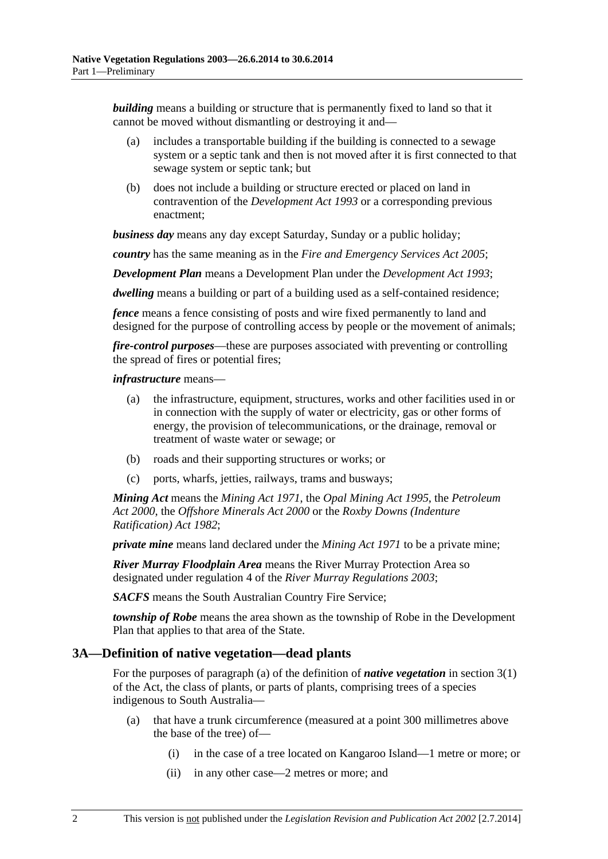<span id="page-1-0"></span>*building* means a building or structure that is permanently fixed to land so that it cannot be moved without dismantling or destroying it and—

- (a) includes a transportable building if the building is connected to a sewage system or a septic tank and then is not moved after it is first connected to that sewage system or septic tank; but
- (b) does not include a building or structure erected or placed on land in contravention of the *Development Act 1993* or a corresponding previous enactment;

*business day* means any day except Saturday, Sunday or a public holiday;

*country* has the same meaning as in the *Fire and Emergency Services Act 2005*;

*Development Plan* means a Development Plan under the *Development Act 1993*;

*dwelling* means a building or part of a building used as a self-contained residence;

*fence* means a fence consisting of posts and wire fixed permanently to land and designed for the purpose of controlling access by people or the movement of animals;

*fire-control purposes*—these are purposes associated with preventing or controlling the spread of fires or potential fires;

#### *infrastructure* means—

- (a) the infrastructure, equipment, structures, works and other facilities used in or in connection with the supply of water or electricity, gas or other forms of energy, the provision of telecommunications, or the drainage, removal or treatment of waste water or sewage; or
- (b) roads and their supporting structures or works; or
- (c) ports, wharfs, jetties, railways, trams and busways;

*Mining Act* means the *Mining Act 1971*, the *Opal Mining Act 1995*, the *Petroleum Act 2000*, the *Offshore Minerals Act 2000* or the *Roxby Downs (Indenture Ratification) Act 1982*;

*private mine* means land declared under the *Mining Act 1971* to be a private mine;

*River Murray Floodplain Area* means the River Murray Protection Area so designated under regulation 4 of the *River Murray Regulations 2003*;

*SACFS* means the South Australian Country Fire Service;

*township of Robe* means the area shown as the township of Robe in the Development Plan that applies to that area of the State.

#### **3A—Definition of native vegetation—dead plants**

For the purposes of paragraph (a) of the definition of *native vegetation* in section 3(1) of the Act, the class of plants, or parts of plants, comprising trees of a species indigenous to South Australia—

- (a) that have a trunk circumference (measured at a point 300 millimetres above the base of the tree) of—
	- (i) in the case of a tree located on Kangaroo Island—1 metre or more; or
	- (ii) in any other case—2 metres or more; and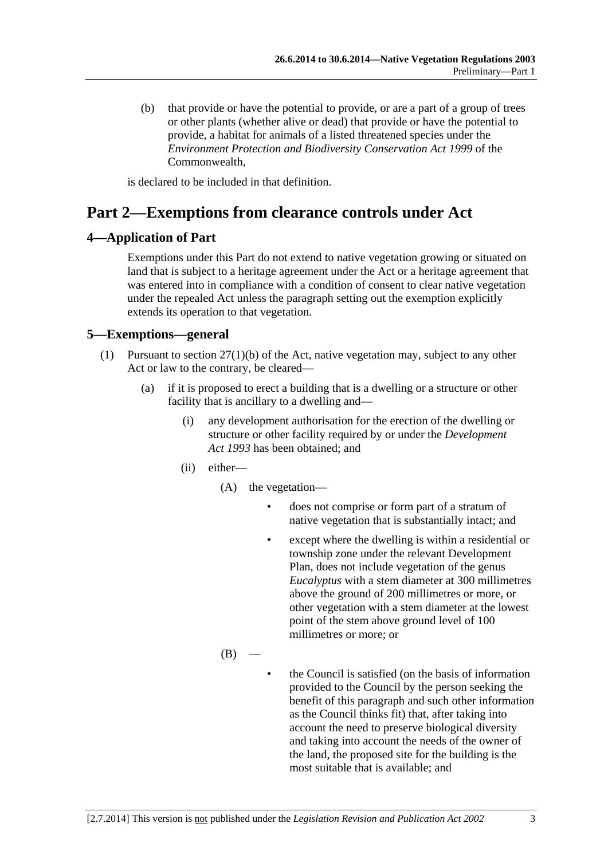<span id="page-2-0"></span> (b) that provide or have the potential to provide, or are a part of a group of trees or other plants (whether alive or dead) that provide or have the potential to provide, a habitat for animals of a listed threatened species under the *Environment Protection and Biodiversity Conservation Act 1999* of the Commonwealth,

is declared to be included in that definition.

# **Part 2—Exemptions from clearance controls under Act**

### **4—Application of Part**

Exemptions under this Part do not extend to native vegetation growing or situated on land that is subject to a heritage agreement under the Act or a heritage agreement that was entered into in compliance with a condition of consent to clear native vegetation under the repealed Act unless the paragraph setting out the exemption explicitly extends its operation to that vegetation.

### **5—Exemptions—general**

- (1) Pursuant to section 27(1)(b) of the Act, native vegetation may, subject to any other Act or law to the contrary, be cleared—
	- (a) if it is proposed to erect a building that is a dwelling or a structure or other facility that is ancillary to a dwelling and—
		- (i) any development authorisation for the erection of the dwelling or structure or other facility required by or under the *Development Act 1993* has been obtained; and
		- (ii) either—
			- (A) the vegetation
				- does not comprise or form part of a stratum of native vegetation that is substantially intact; and
				- except where the dwelling is within a residential or township zone under the relevant Development Plan, does not include vegetation of the genus *Eucalyptus* with a stem diameter at 300 millimetres above the ground of 200 millimetres or more, or other vegetation with a stem diameter at the lowest point of the stem above ground level of 100 millimetres or more; or
			- $(B)$
- the Council is satisfied (on the basis of information provided to the Council by the person seeking the benefit of this paragraph and such other information as the Council thinks fit) that, after taking into account the need to preserve biological diversity and taking into account the needs of the owner of the land, the proposed site for the building is the most suitable that is available; and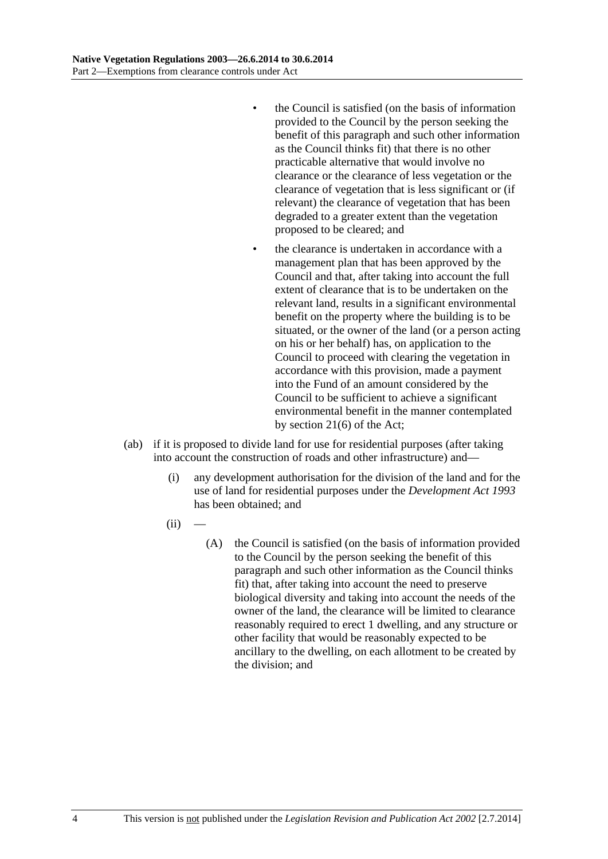- the Council is satisfied (on the basis of information provided to the Council by the person seeking the benefit of this paragraph and such other information as the Council thinks fit) that there is no other practicable alternative that would involve no clearance or the clearance of less vegetation or the clearance of vegetation that is less significant or (if relevant) the clearance of vegetation that has been degraded to a greater extent than the vegetation proposed to be cleared; and
- the clearance is undertaken in accordance with a management plan that has been approved by the Council and that, after taking into account the full extent of clearance that is to be undertaken on the relevant land, results in a significant environmental benefit on the property where the building is to be situated, or the owner of the land (or a person acting on his or her behalf) has, on application to the Council to proceed with clearing the vegetation in accordance with this provision, made a payment into the Fund of an amount considered by the Council to be sufficient to achieve a significant environmental benefit in the manner contemplated by section 21(6) of the Act;
- (ab) if it is proposed to divide land for use for residential purposes (after taking into account the construction of roads and other infrastructure) and—
	- (i) any development authorisation for the division of the land and for the use of land for residential purposes under the *Development Act 1993* has been obtained; and
	- $(ii)$ 
		- (A) the Council is satisfied (on the basis of information provided to the Council by the person seeking the benefit of this paragraph and such other information as the Council thinks fit) that, after taking into account the need to preserve biological diversity and taking into account the needs of the owner of the land, the clearance will be limited to clearance reasonably required to erect 1 dwelling, and any structure or other facility that would be reasonably expected to be ancillary to the dwelling, on each allotment to be created by the division; and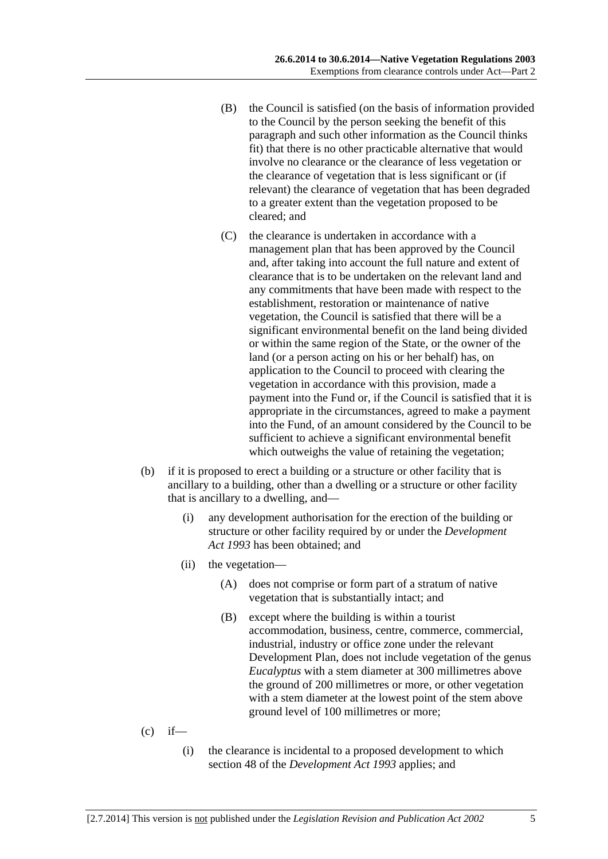- (B) the Council is satisfied (on the basis of information provided to the Council by the person seeking the benefit of this paragraph and such other information as the Council thinks fit) that there is no other practicable alternative that would involve no clearance or the clearance of less vegetation or the clearance of vegetation that is less significant or (if relevant) the clearance of vegetation that has been degraded to a greater extent than the vegetation proposed to be cleared; and
- (C) the clearance is undertaken in accordance with a management plan that has been approved by the Council and, after taking into account the full nature and extent of clearance that is to be undertaken on the relevant land and any commitments that have been made with respect to the establishment, restoration or maintenance of native vegetation, the Council is satisfied that there will be a significant environmental benefit on the land being divided or within the same region of the State, or the owner of the land (or a person acting on his or her behalf) has, on application to the Council to proceed with clearing the vegetation in accordance with this provision, made a payment into the Fund or, if the Council is satisfied that it is appropriate in the circumstances, agreed to make a payment into the Fund, of an amount considered by the Council to be sufficient to achieve a significant environmental benefit which outweighs the value of retaining the vegetation;
- (b) if it is proposed to erect a building or a structure or other facility that is ancillary to a building, other than a dwelling or a structure or other facility that is ancillary to a dwelling, and—
	- (i) any development authorisation for the erection of the building or structure or other facility required by or under the *Development Act 1993* has been obtained; and
	- (ii) the vegetation—
		- (A) does not comprise or form part of a stratum of native vegetation that is substantially intact; and
		- (B) except where the building is within a tourist accommodation, business, centre, commerce, commercial, industrial, industry or office zone under the relevant Development Plan, does not include vegetation of the genus *Eucalyptus* with a stem diameter at 300 millimetres above the ground of 200 millimetres or more, or other vegetation with a stem diameter at the lowest point of the stem above ground level of 100 millimetres or more;
- $(c)$  if—
	- (i) the clearance is incidental to a proposed development to which section 48 of the *Development Act 1993* applies; and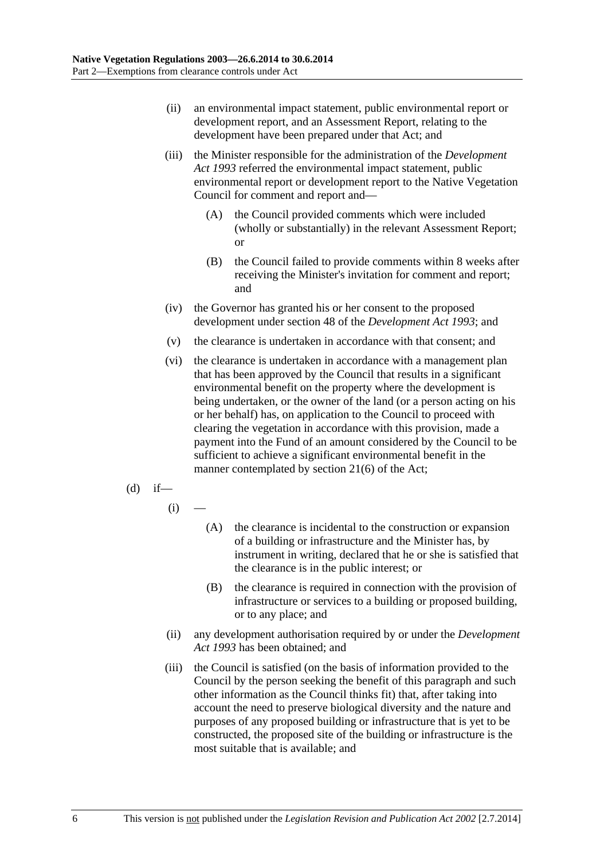- (ii) an environmental impact statement, public environmental report or development report, and an Assessment Report, relating to the development have been prepared under that Act; and
- (iii) the Minister responsible for the administration of the *Development Act 1993* referred the environmental impact statement, public environmental report or development report to the Native Vegetation Council for comment and report and—
	- (A) the Council provided comments which were included (wholly or substantially) in the relevant Assessment Report; or
	- (B) the Council failed to provide comments within 8 weeks after receiving the Minister's invitation for comment and report; and
- (iv) the Governor has granted his or her consent to the proposed development under section 48 of the *Development Act 1993*; and
- (v) the clearance is undertaken in accordance with that consent; and
- (vi) the clearance is undertaken in accordance with a management plan that has been approved by the Council that results in a significant environmental benefit on the property where the development is being undertaken, or the owner of the land (or a person acting on his or her behalf) has, on application to the Council to proceed with clearing the vegetation in accordance with this provision, made a payment into the Fund of an amount considered by the Council to be sufficient to achieve a significant environmental benefit in the manner contemplated by section 21(6) of the Act;
- $(d)$  if—
	- $(i)$
- (A) the clearance is incidental to the construction or expansion of a building or infrastructure and the Minister has, by instrument in writing, declared that he or she is satisfied that the clearance is in the public interest; or
- (B) the clearance is required in connection with the provision of infrastructure or services to a building or proposed building, or to any place; and
- (ii) any development authorisation required by or under the *Development Act 1993* has been obtained; and
- (iii) the Council is satisfied (on the basis of information provided to the Council by the person seeking the benefit of this paragraph and such other information as the Council thinks fit) that, after taking into account the need to preserve biological diversity and the nature and purposes of any proposed building or infrastructure that is yet to be constructed, the proposed site of the building or infrastructure is the most suitable that is available; and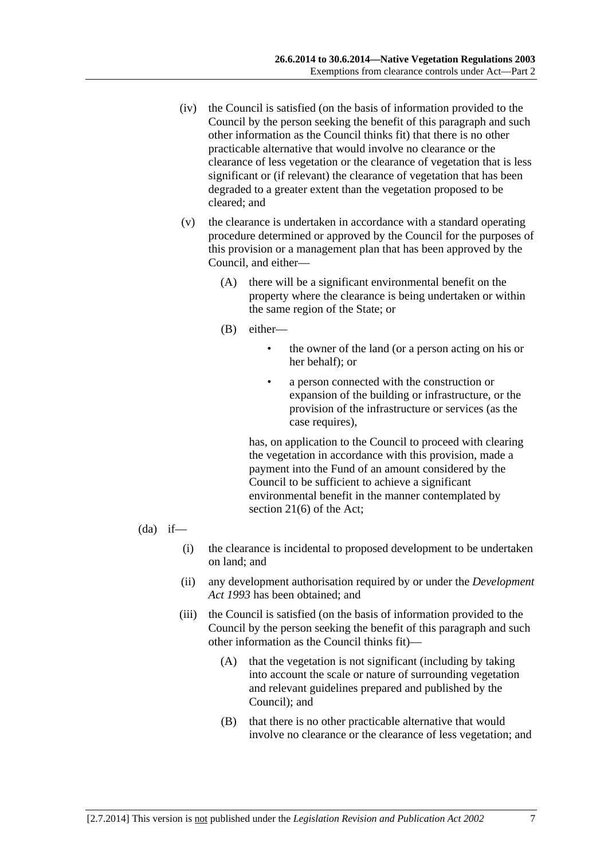- (iv) the Council is satisfied (on the basis of information provided to the Council by the person seeking the benefit of this paragraph and such other information as the Council thinks fit) that there is no other practicable alternative that would involve no clearance or the clearance of less vegetation or the clearance of vegetation that is less significant or (if relevant) the clearance of vegetation that has been degraded to a greater extent than the vegetation proposed to be cleared; and
- (v) the clearance is undertaken in accordance with a standard operating procedure determined or approved by the Council for the purposes of this provision or a management plan that has been approved by the Council, and either—
	- (A) there will be a significant environmental benefit on the property where the clearance is being undertaken or within the same region of the State; or
	- (B) either—
		- the owner of the land (or a person acting on his or her behalf); or
		- a person connected with the construction or expansion of the building or infrastructure, or the provision of the infrastructure or services (as the case requires),

has, on application to the Council to proceed with clearing the vegetation in accordance with this provision, made a payment into the Fund of an amount considered by the Council to be sufficient to achieve a significant environmental benefit in the manner contemplated by section 21(6) of the Act;

- $(da)$  if—
	- (i) the clearance is incidental to proposed development to be undertaken on land; and
	- (ii) any development authorisation required by or under the *Development Act 1993* has been obtained; and
	- (iii) the Council is satisfied (on the basis of information provided to the Council by the person seeking the benefit of this paragraph and such other information as the Council thinks fit)—
		- (A) that the vegetation is not significant (including by taking into account the scale or nature of surrounding vegetation and relevant guidelines prepared and published by the Council); and
		- (B) that there is no other practicable alternative that would involve no clearance or the clearance of less vegetation; and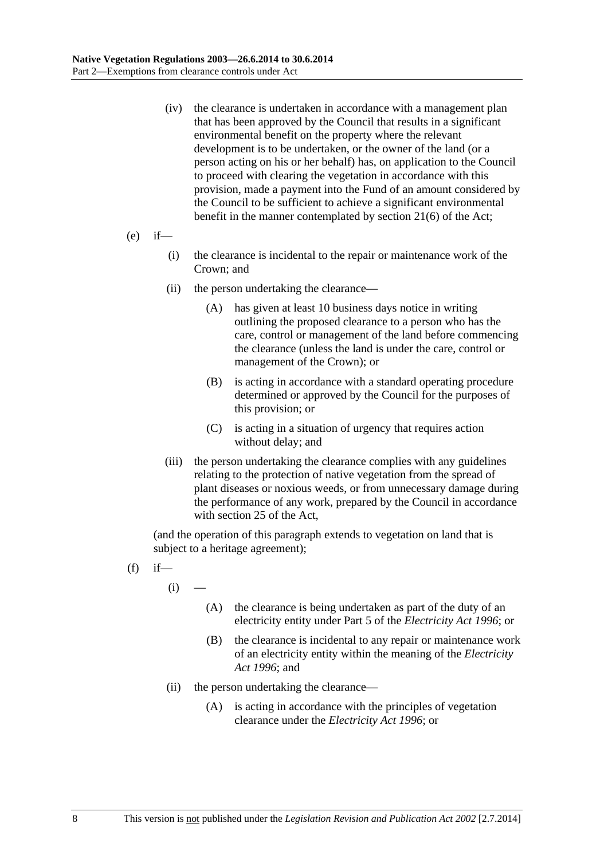- (iv) the clearance is undertaken in accordance with a management plan that has been approved by the Council that results in a significant environmental benefit on the property where the relevant development is to be undertaken, or the owner of the land (or a person acting on his or her behalf) has, on application to the Council to proceed with clearing the vegetation in accordance with this provision, made a payment into the Fund of an amount considered by the Council to be sufficient to achieve a significant environmental benefit in the manner contemplated by section 21(6) of the Act;
- $(e)$  if—
	- (i) the clearance is incidental to the repair or maintenance work of the Crown; and
	- (ii) the person undertaking the clearance—
		- (A) has given at least 10 business days notice in writing outlining the proposed clearance to a person who has the care, control or management of the land before commencing the clearance (unless the land is under the care, control or management of the Crown); or
		- (B) is acting in accordance with a standard operating procedure determined or approved by the Council for the purposes of this provision; or
		- (C) is acting in a situation of urgency that requires action without delay; and
	- (iii) the person undertaking the clearance complies with any guidelines relating to the protection of native vegetation from the spread of plant diseases or noxious weeds, or from unnecessary damage during the performance of any work, prepared by the Council in accordance with section 25 of the Act,

(and the operation of this paragraph extends to vegetation on land that is subject to a heritage agreement);

- $(f)$  if
	- $(i)$
- (A) the clearance is being undertaken as part of the duty of an electricity entity under Part 5 of the *Electricity Act 1996*; or
- (B) the clearance is incidental to any repair or maintenance work of an electricity entity within the meaning of the *Electricity Act 1996*; and
- (ii) the person undertaking the clearance—
	- (A) is acting in accordance with the principles of vegetation clearance under the *Electricity Act 1996*; or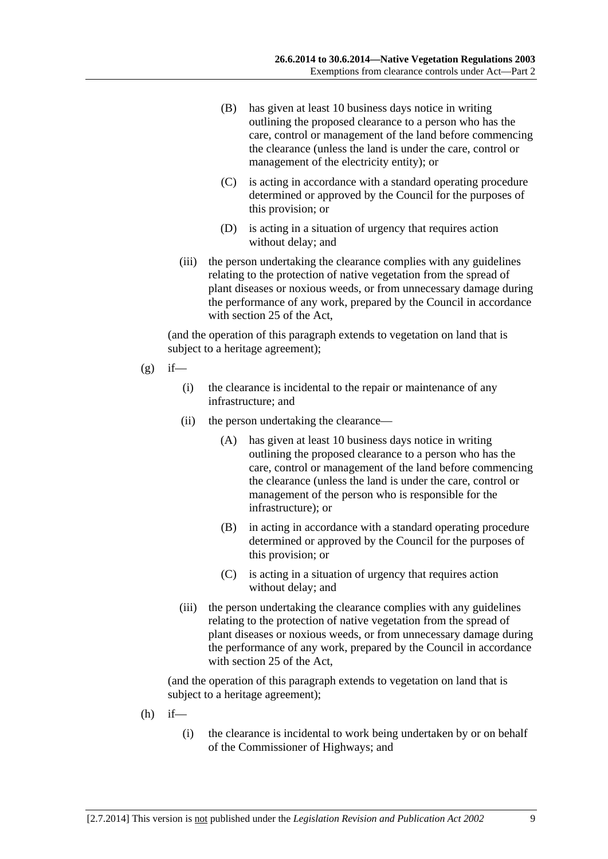- (B) has given at least 10 business days notice in writing outlining the proposed clearance to a person who has the care, control or management of the land before commencing the clearance (unless the land is under the care, control or management of the electricity entity); or
- (C) is acting in accordance with a standard operating procedure determined or approved by the Council for the purposes of this provision; or
- (D) is acting in a situation of urgency that requires action without delay; and
- (iii) the person undertaking the clearance complies with any guidelines relating to the protection of native vegetation from the spread of plant diseases or noxious weeds, or from unnecessary damage during the performance of any work, prepared by the Council in accordance with section 25 of the Act,

(and the operation of this paragraph extends to vegetation on land that is subject to a heritage agreement);

- $(g)$  if—
	- (i) the clearance is incidental to the repair or maintenance of any infrastructure; and
	- (ii) the person undertaking the clearance—
		- (A) has given at least 10 business days notice in writing outlining the proposed clearance to a person who has the care, control or management of the land before commencing the clearance (unless the land is under the care, control or management of the person who is responsible for the infrastructure); or
		- (B) in acting in accordance with a standard operating procedure determined or approved by the Council for the purposes of this provision; or
		- (C) is acting in a situation of urgency that requires action without delay; and
	- (iii) the person undertaking the clearance complies with any guidelines relating to the protection of native vegetation from the spread of plant diseases or noxious weeds, or from unnecessary damage during the performance of any work, prepared by the Council in accordance with section 25 of the Act,

(and the operation of this paragraph extends to vegetation on land that is subject to a heritage agreement);

- $(h)$  if—
	- (i) the clearance is incidental to work being undertaken by or on behalf of the Commissioner of Highways; and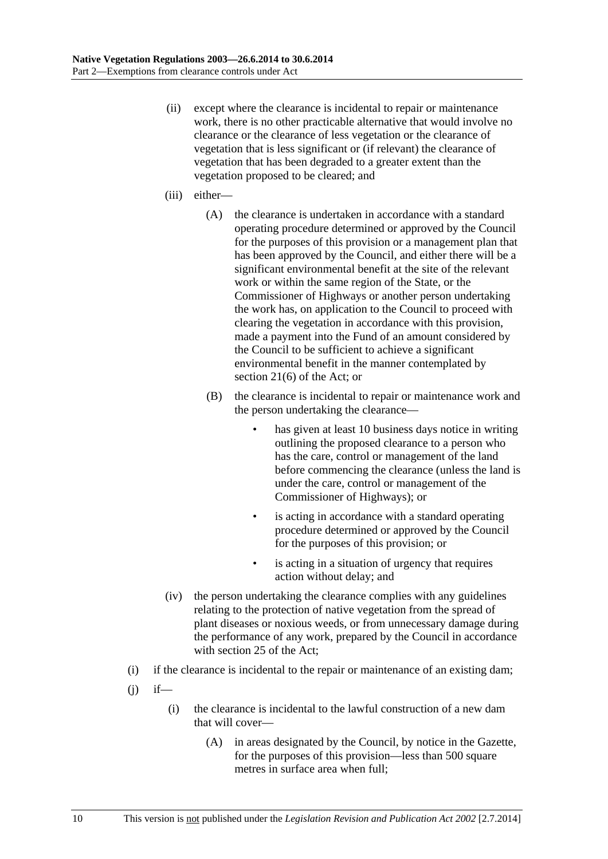- (ii) except where the clearance is incidental to repair or maintenance work, there is no other practicable alternative that would involve no clearance or the clearance of less vegetation or the clearance of vegetation that is less significant or (if relevant) the clearance of vegetation that has been degraded to a greater extent than the vegetation proposed to be cleared; and
- (iii) either—
	- (A) the clearance is undertaken in accordance with a standard operating procedure determined or approved by the Council for the purposes of this provision or a management plan that has been approved by the Council, and either there will be a significant environmental benefit at the site of the relevant work or within the same region of the State, or the Commissioner of Highways or another person undertaking the work has, on application to the Council to proceed with clearing the vegetation in accordance with this provision, made a payment into the Fund of an amount considered by the Council to be sufficient to achieve a significant environmental benefit in the manner contemplated by section 21(6) of the Act; or
	- (B) the clearance is incidental to repair or maintenance work and the person undertaking the clearance
		- has given at least 10 business days notice in writing outlining the proposed clearance to a person who has the care, control or management of the land before commencing the clearance (unless the land is under the care, control or management of the Commissioner of Highways); or
		- is acting in accordance with a standard operating procedure determined or approved by the Council for the purposes of this provision; or
		- is acting in a situation of urgency that requires action without delay; and
- (iv) the person undertaking the clearance complies with any guidelines relating to the protection of native vegetation from the spread of plant diseases or noxious weeds, or from unnecessary damage during the performance of any work, prepared by the Council in accordance with section 25 of the Act;
- (i) if the clearance is incidental to the repair or maintenance of an existing dam;
- $(i)$  if—
	- (i) the clearance is incidental to the lawful construction of a new dam that will cover—
		- (A) in areas designated by the Council, by notice in the Gazette, for the purposes of this provision—less than 500 square metres in surface area when full;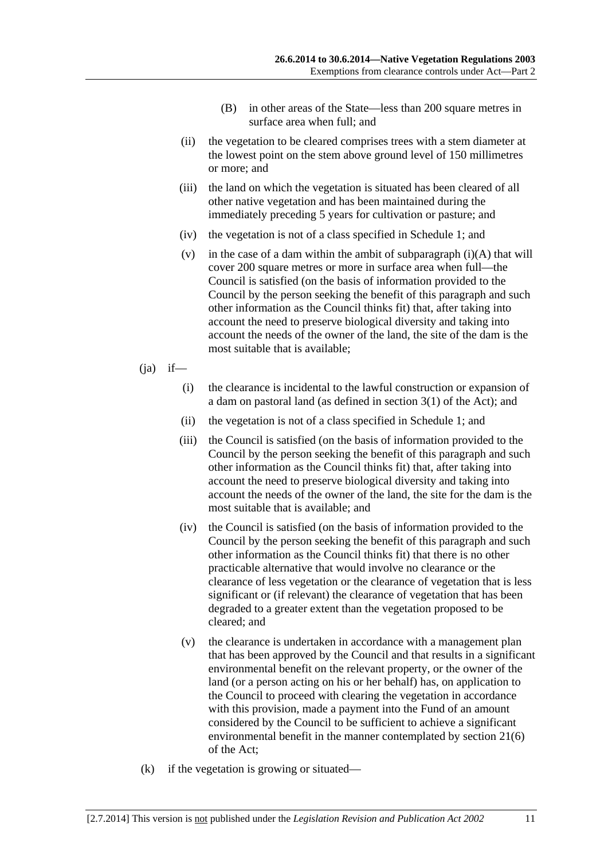- (B) in other areas of the State—less than 200 square metres in surface area when full; and
- (ii) the vegetation to be cleared comprises trees with a stem diameter at the lowest point on the stem above ground level of 150 millimetres or more; and
- (iii) the land on which the vegetation is situated has been cleared of all other native vegetation and has been maintained during the immediately preceding 5 years for cultivation or pasture; and
- (iv) the vegetation is not of a class specified in Schedule 1; and
- (v) in the case of a dam within the ambit of subparagraph  $(i)(A)$  that will cover 200 square metres or more in surface area when full—the Council is satisfied (on the basis of information provided to the Council by the person seeking the benefit of this paragraph and such other information as the Council thinks fit) that, after taking into account the need to preserve biological diversity and taking into account the needs of the owner of the land, the site of the dam is the most suitable that is available;
- $(ia)$  if—
	- (i) the clearance is incidental to the lawful construction or expansion of a dam on pastoral land (as defined in section 3(1) of the Act); and
	- (ii) the vegetation is not of a class specified in Schedule 1; and
	- (iii) the Council is satisfied (on the basis of information provided to the Council by the person seeking the benefit of this paragraph and such other information as the Council thinks fit) that, after taking into account the need to preserve biological diversity and taking into account the needs of the owner of the land, the site for the dam is the most suitable that is available; and
	- (iv) the Council is satisfied (on the basis of information provided to the Council by the person seeking the benefit of this paragraph and such other information as the Council thinks fit) that there is no other practicable alternative that would involve no clearance or the clearance of less vegetation or the clearance of vegetation that is less significant or (if relevant) the clearance of vegetation that has been degraded to a greater extent than the vegetation proposed to be cleared; and
	- (v) the clearance is undertaken in accordance with a management plan that has been approved by the Council and that results in a significant environmental benefit on the relevant property, or the owner of the land (or a person acting on his or her behalf) has, on application to the Council to proceed with clearing the vegetation in accordance with this provision, made a payment into the Fund of an amount considered by the Council to be sufficient to achieve a significant environmental benefit in the manner contemplated by section 21(6) of the Act;
- (k) if the vegetation is growing or situated—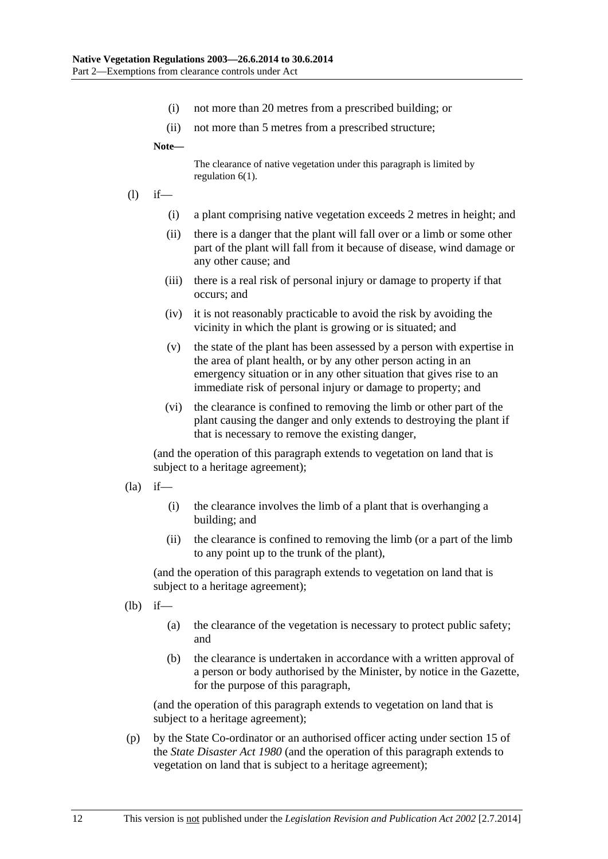- (i) not more than 20 metres from a prescribed building; or
- (ii) not more than 5 metres from a prescribed structure;

**Note—** 

The clearance of native vegetation under this paragraph is limited by regulation 6(1).

- (l) if—
	- (i) a plant comprising native vegetation exceeds 2 metres in height; and
	- (ii) there is a danger that the plant will fall over or a limb or some other part of the plant will fall from it because of disease, wind damage or any other cause; and
	- (iii) there is a real risk of personal injury or damage to property if that occurs; and
	- (iv) it is not reasonably practicable to avoid the risk by avoiding the vicinity in which the plant is growing or is situated; and
	- (v) the state of the plant has been assessed by a person with expertise in the area of plant health, or by any other person acting in an emergency situation or in any other situation that gives rise to an immediate risk of personal injury or damage to property; and
	- (vi) the clearance is confined to removing the limb or other part of the plant causing the danger and only extends to destroying the plant if that is necessary to remove the existing danger,

(and the operation of this paragraph extends to vegetation on land that is subject to a heritage agreement);

- $(la)$  if—
	- (i) the clearance involves the limb of a plant that is overhanging a building; and
	- (ii) the clearance is confined to removing the limb (or a part of the limb to any point up to the trunk of the plant),

(and the operation of this paragraph extends to vegetation on land that is subject to a heritage agreement);

(lb) if—

- (a) the clearance of the vegetation is necessary to protect public safety; and
- (b) the clearance is undertaken in accordance with a written approval of a person or body authorised by the Minister, by notice in the Gazette, for the purpose of this paragraph,

(and the operation of this paragraph extends to vegetation on land that is subject to a heritage agreement);

 (p) by the State Co-ordinator or an authorised officer acting under section 15 of the *State Disaster Act 1980* (and the operation of this paragraph extends to vegetation on land that is subject to a heritage agreement);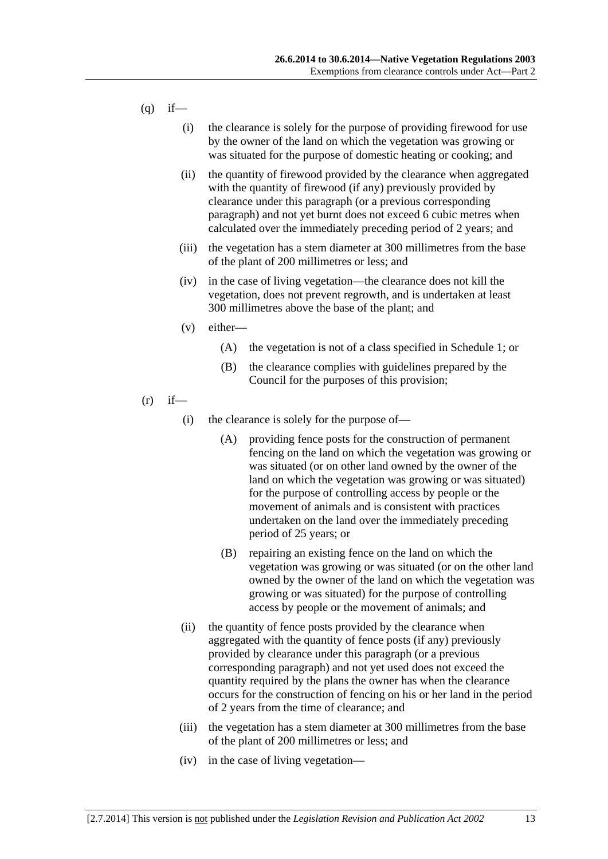- $(q)$  if—
	- (i) the clearance is solely for the purpose of providing firewood for use by the owner of the land on which the vegetation was growing or was situated for the purpose of domestic heating or cooking; and
	- (ii) the quantity of firewood provided by the clearance when aggregated with the quantity of firewood (if any) previously provided by clearance under this paragraph (or a previous corresponding paragraph) and not yet burnt does not exceed 6 cubic metres when calculated over the immediately preceding period of 2 years; and
	- (iii) the vegetation has a stem diameter at 300 millimetres from the base of the plant of 200 millimetres or less; and
	- (iv) in the case of living vegetation—the clearance does not kill the vegetation, does not prevent regrowth, and is undertaken at least 300 millimetres above the base of the plant; and
	- (v) either—
		- (A) the vegetation is not of a class specified in Schedule 1; or
		- (B) the clearance complies with guidelines prepared by the Council for the purposes of this provision;
- $(r)$  if—
	- (i) the clearance is solely for the purpose of—
		- (A) providing fence posts for the construction of permanent fencing on the land on which the vegetation was growing or was situated (or on other land owned by the owner of the land on which the vegetation was growing or was situated) for the purpose of controlling access by people or the movement of animals and is consistent with practices undertaken on the land over the immediately preceding period of 25 years; or
		- (B) repairing an existing fence on the land on which the vegetation was growing or was situated (or on the other land owned by the owner of the land on which the vegetation was growing or was situated) for the purpose of controlling access by people or the movement of animals; and
	- (ii) the quantity of fence posts provided by the clearance when aggregated with the quantity of fence posts (if any) previously provided by clearance under this paragraph (or a previous corresponding paragraph) and not yet used does not exceed the quantity required by the plans the owner has when the clearance occurs for the construction of fencing on his or her land in the period of 2 years from the time of clearance; and
	- (iii) the vegetation has a stem diameter at 300 millimetres from the base of the plant of 200 millimetres or less; and
	- (iv) in the case of living vegetation—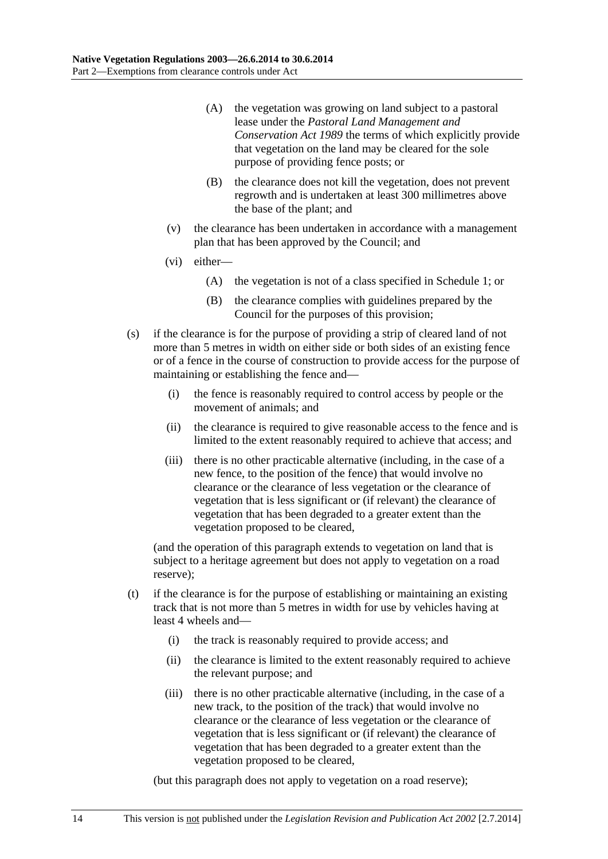- (A) the vegetation was growing on land subject to a pastoral lease under the *Pastoral Land Management and Conservation Act 1989* the terms of which explicitly provide that vegetation on the land may be cleared for the sole purpose of providing fence posts; or
- (B) the clearance does not kill the vegetation, does not prevent regrowth and is undertaken at least 300 millimetres above the base of the plant; and
- (v) the clearance has been undertaken in accordance with a management plan that has been approved by the Council; and
- (vi) either—
	- (A) the vegetation is not of a class specified in Schedule 1; or
	- (B) the clearance complies with guidelines prepared by the Council for the purposes of this provision;
- (s) if the clearance is for the purpose of providing a strip of cleared land of not more than 5 metres in width on either side or both sides of an existing fence or of a fence in the course of construction to provide access for the purpose of maintaining or establishing the fence and—
	- (i) the fence is reasonably required to control access by people or the movement of animals; and
	- (ii) the clearance is required to give reasonable access to the fence and is limited to the extent reasonably required to achieve that access; and
	- (iii) there is no other practicable alternative (including, in the case of a new fence, to the position of the fence) that would involve no clearance or the clearance of less vegetation or the clearance of vegetation that is less significant or (if relevant) the clearance of vegetation that has been degraded to a greater extent than the vegetation proposed to be cleared,

(and the operation of this paragraph extends to vegetation on land that is subject to a heritage agreement but does not apply to vegetation on a road reserve);

- (t) if the clearance is for the purpose of establishing or maintaining an existing track that is not more than 5 metres in width for use by vehicles having at least 4 wheels and—
	- (i) the track is reasonably required to provide access; and
	- (ii) the clearance is limited to the extent reasonably required to achieve the relevant purpose; and
	- (iii) there is no other practicable alternative (including, in the case of a new track, to the position of the track) that would involve no clearance or the clearance of less vegetation or the clearance of vegetation that is less significant or (if relevant) the clearance of vegetation that has been degraded to a greater extent than the vegetation proposed to be cleared,

(but this paragraph does not apply to vegetation on a road reserve);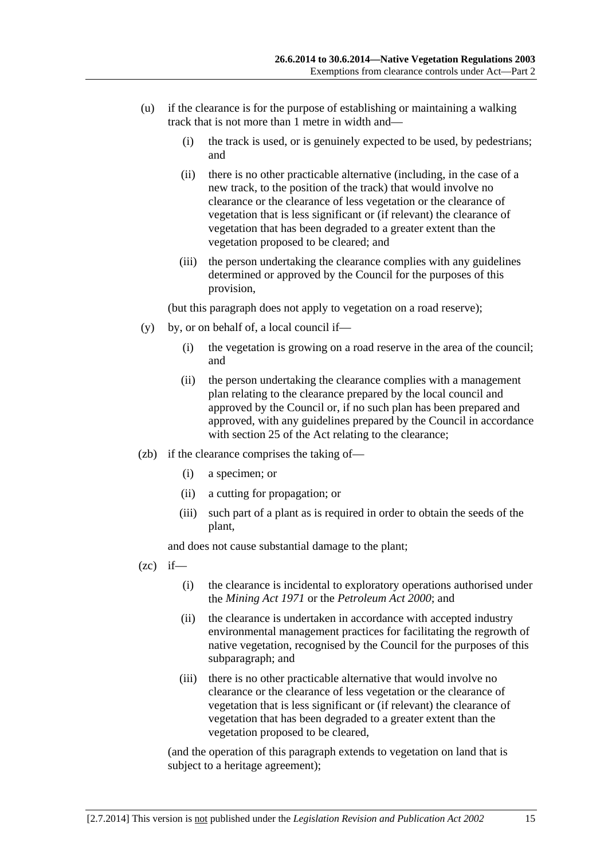- (u) if the clearance is for the purpose of establishing or maintaining a walking track that is not more than 1 metre in width and—
	- (i) the track is used, or is genuinely expected to be used, by pedestrians; and
	- (ii) there is no other practicable alternative (including, in the case of a new track, to the position of the track) that would involve no clearance or the clearance of less vegetation or the clearance of vegetation that is less significant or (if relevant) the clearance of vegetation that has been degraded to a greater extent than the vegetation proposed to be cleared; and
	- (iii) the person undertaking the clearance complies with any guidelines determined or approved by the Council for the purposes of this provision,

(but this paragraph does not apply to vegetation on a road reserve);

- (y) by, or on behalf of, a local council if—
	- (i) the vegetation is growing on a road reserve in the area of the council; and
	- (ii) the person undertaking the clearance complies with a management plan relating to the clearance prepared by the local council and approved by the Council or, if no such plan has been prepared and approved, with any guidelines prepared by the Council in accordance with section 25 of the Act relating to the clearance;
- (zb) if the clearance comprises the taking of—
	- (i) a specimen; or
	- (ii) a cutting for propagation; or
	- (iii) such part of a plant as is required in order to obtain the seeds of the plant,

and does not cause substantial damage to the plant;

- $(zc)$  if—
	- (i) the clearance is incidental to exploratory operations authorised under the *Mining Act 1971* or the *Petroleum Act 2000*; and
	- (ii) the clearance is undertaken in accordance with accepted industry environmental management practices for facilitating the regrowth of native vegetation, recognised by the Council for the purposes of this subparagraph; and
	- (iii) there is no other practicable alternative that would involve no clearance or the clearance of less vegetation or the clearance of vegetation that is less significant or (if relevant) the clearance of vegetation that has been degraded to a greater extent than the vegetation proposed to be cleared,

(and the operation of this paragraph extends to vegetation on land that is subject to a heritage agreement);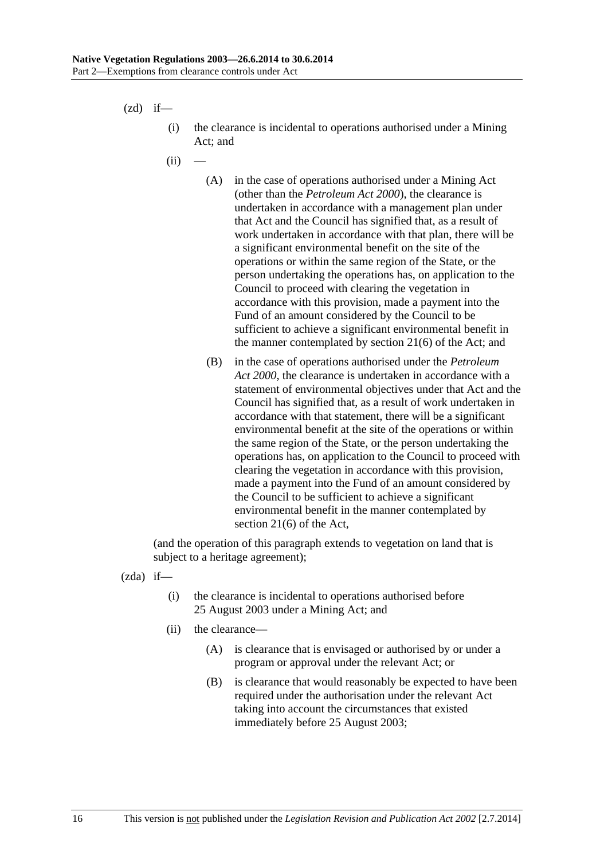$(zd)$  if—

- (i) the clearance is incidental to operations authorised under a Mining Act; and
- $(ii)$ 
	- (A) in the case of operations authorised under a Mining Act (other than the *Petroleum Act 2000*), the clearance is undertaken in accordance with a management plan under that Act and the Council has signified that, as a result of work undertaken in accordance with that plan, there will be a significant environmental benefit on the site of the operations or within the same region of the State, or the person undertaking the operations has, on application to the Council to proceed with clearing the vegetation in accordance with this provision, made a payment into the Fund of an amount considered by the Council to be sufficient to achieve a significant environmental benefit in the manner contemplated by section 21(6) of the Act; and
	- (B) in the case of operations authorised under the *Petroleum Act 2000*, the clearance is undertaken in accordance with a statement of environmental objectives under that Act and the Council has signified that, as a result of work undertaken in accordance with that statement, there will be a significant environmental benefit at the site of the operations or within the same region of the State, or the person undertaking the operations has, on application to the Council to proceed with clearing the vegetation in accordance with this provision, made a payment into the Fund of an amount considered by the Council to be sufficient to achieve a significant environmental benefit in the manner contemplated by section 21(6) of the Act,

(and the operation of this paragraph extends to vegetation on land that is subject to a heritage agreement);

(zda) if—

- (i) the clearance is incidental to operations authorised before 25 August 2003 under a Mining Act; and
- (ii) the clearance—
	- (A) is clearance that is envisaged or authorised by or under a program or approval under the relevant Act; or
	- (B) is clearance that would reasonably be expected to have been required under the authorisation under the relevant Act taking into account the circumstances that existed immediately before 25 August 2003;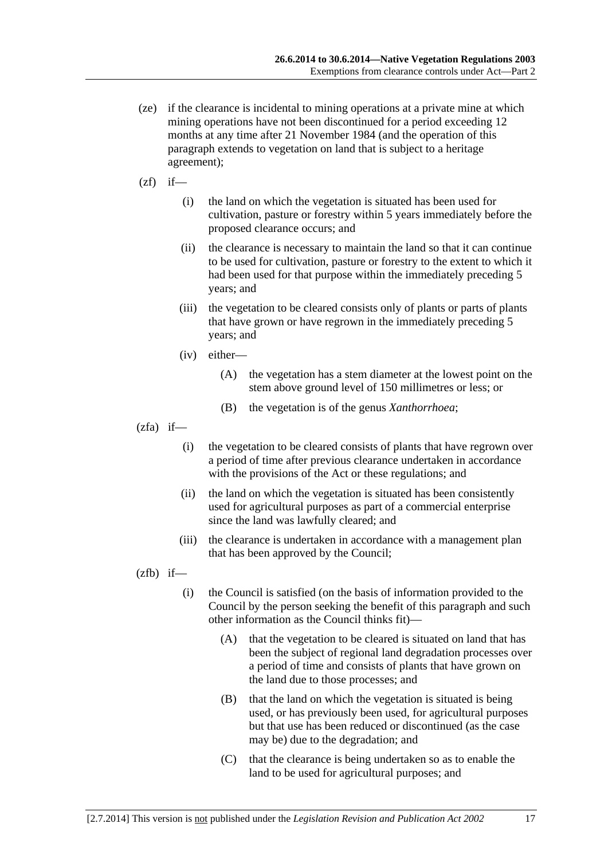- (ze) if the clearance is incidental to mining operations at a private mine at which mining operations have not been discontinued for a period exceeding 12 months at any time after 21 November 1984 (and the operation of this paragraph extends to vegetation on land that is subject to a heritage agreement);
- $(zf)$  if—
	- (i) the land on which the vegetation is situated has been used for cultivation, pasture or forestry within 5 years immediately before the proposed clearance occurs; and
	- (ii) the clearance is necessary to maintain the land so that it can continue to be used for cultivation, pasture or forestry to the extent to which it had been used for that purpose within the immediately preceding 5 years; and
	- (iii) the vegetation to be cleared consists only of plants or parts of plants that have grown or have regrown in the immediately preceding 5 years; and
	- (iv) either—
		- (A) the vegetation has a stem diameter at the lowest point on the stem above ground level of 150 millimetres or less; or
		- (B) the vegetation is of the genus *Xanthorrhoea*;
- $(zfa)$  if—
	- (i) the vegetation to be cleared consists of plants that have regrown over a period of time after previous clearance undertaken in accordance with the provisions of the Act or these regulations; and
	- (ii) the land on which the vegetation is situated has been consistently used for agricultural purposes as part of a commercial enterprise since the land was lawfully cleared; and
	- (iii) the clearance is undertaken in accordance with a management plan that has been approved by the Council;

 $(zfb)$  if—

- (i) the Council is satisfied (on the basis of information provided to the Council by the person seeking the benefit of this paragraph and such other information as the Council thinks fit)—
	- (A) that the vegetation to be cleared is situated on land that has been the subject of regional land degradation processes over a period of time and consists of plants that have grown on the land due to those processes; and
	- (B) that the land on which the vegetation is situated is being used, or has previously been used, for agricultural purposes but that use has been reduced or discontinued (as the case may be) due to the degradation; and
	- (C) that the clearance is being undertaken so as to enable the land to be used for agricultural purposes; and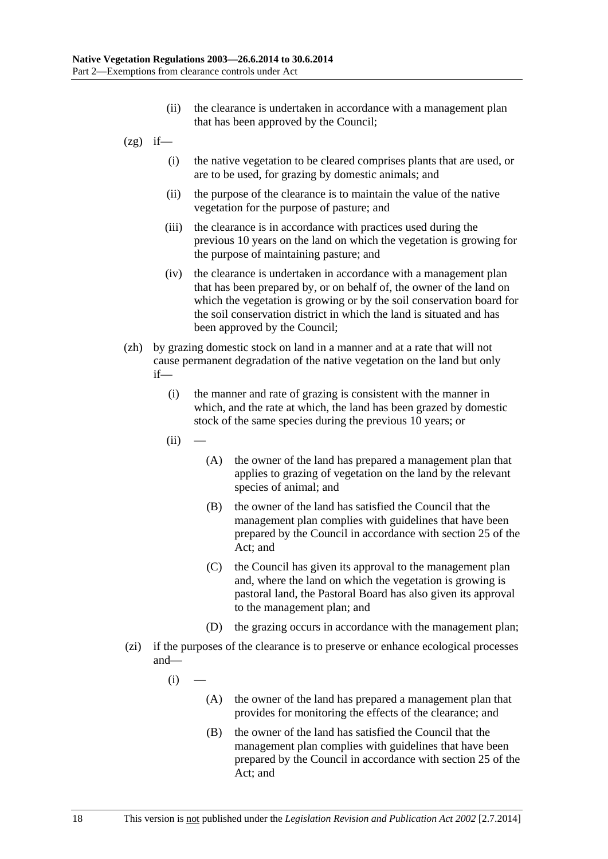- (ii) the clearance is undertaken in accordance with a management plan that has been approved by the Council;
- $(2g)$  if—
	- (i) the native vegetation to be cleared comprises plants that are used, or are to be used, for grazing by domestic animals; and
	- (ii) the purpose of the clearance is to maintain the value of the native vegetation for the purpose of pasture; and
	- (iii) the clearance is in accordance with practices used during the previous 10 years on the land on which the vegetation is growing for the purpose of maintaining pasture; and
	- (iv) the clearance is undertaken in accordance with a management plan that has been prepared by, or on behalf of, the owner of the land on which the vegetation is growing or by the soil conservation board for the soil conservation district in which the land is situated and has been approved by the Council;
- (zh) by grazing domestic stock on land in a manner and at a rate that will not cause permanent degradation of the native vegetation on the land but only if—
	- (i) the manner and rate of grazing is consistent with the manner in which, and the rate at which, the land has been grazed by domestic stock of the same species during the previous 10 years; or
	- $(ii)$
- (A) the owner of the land has prepared a management plan that applies to grazing of vegetation on the land by the relevant species of animal; and
- (B) the owner of the land has satisfied the Council that the management plan complies with guidelines that have been prepared by the Council in accordance with section 25 of the Act; and
- (C) the Council has given its approval to the management plan and, where the land on which the vegetation is growing is pastoral land, the Pastoral Board has also given its approval to the management plan; and
- (D) the grazing occurs in accordance with the management plan;
- (zi) if the purposes of the clearance is to preserve or enhance ecological processes and—
	- $(i)$ 
		- (A) the owner of the land has prepared a management plan that provides for monitoring the effects of the clearance; and
		- (B) the owner of the land has satisfied the Council that the management plan complies with guidelines that have been prepared by the Council in accordance with section 25 of the Act; and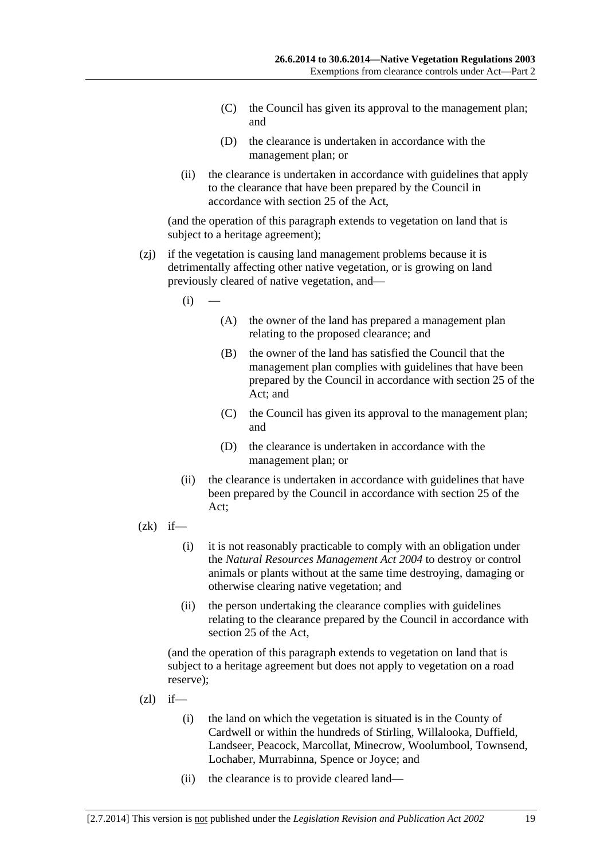- (C) the Council has given its approval to the management plan; and
- (D) the clearance is undertaken in accordance with the management plan; or
- (ii) the clearance is undertaken in accordance with guidelines that apply to the clearance that have been prepared by the Council in accordance with section 25 of the Act,

(and the operation of this paragraph extends to vegetation on land that is subject to a heritage agreement);

- (zj) if the vegetation is causing land management problems because it is detrimentally affecting other native vegetation, or is growing on land previously cleared of native vegetation, and—
	- $(i)$
- (A) the owner of the land has prepared a management plan relating to the proposed clearance; and
- (B) the owner of the land has satisfied the Council that the management plan complies with guidelines that have been prepared by the Council in accordance with section 25 of the Act; and
- (C) the Council has given its approval to the management plan; and
- (D) the clearance is undertaken in accordance with the management plan; or
- (ii) the clearance is undertaken in accordance with guidelines that have been prepared by the Council in accordance with section 25 of the Act;
- $(zk)$  if—
	- (i) it is not reasonably practicable to comply with an obligation under the *Natural Resources Management Act 2004* to destroy or control animals or plants without at the same time destroying, damaging or otherwise clearing native vegetation; and
	- (ii) the person undertaking the clearance complies with guidelines relating to the clearance prepared by the Council in accordance with section 25 of the Act,

(and the operation of this paragraph extends to vegetation on land that is subject to a heritage agreement but does not apply to vegetation on a road reserve);

- $(zl)$  if—
	- (i) the land on which the vegetation is situated is in the County of Cardwell or within the hundreds of Stirling, Willalooka, Duffield, Landseer, Peacock, Marcollat, Minecrow, Woolumbool, Townsend, Lochaber, Murrabinna, Spence or Joyce; and
	- (ii) the clearance is to provide cleared land—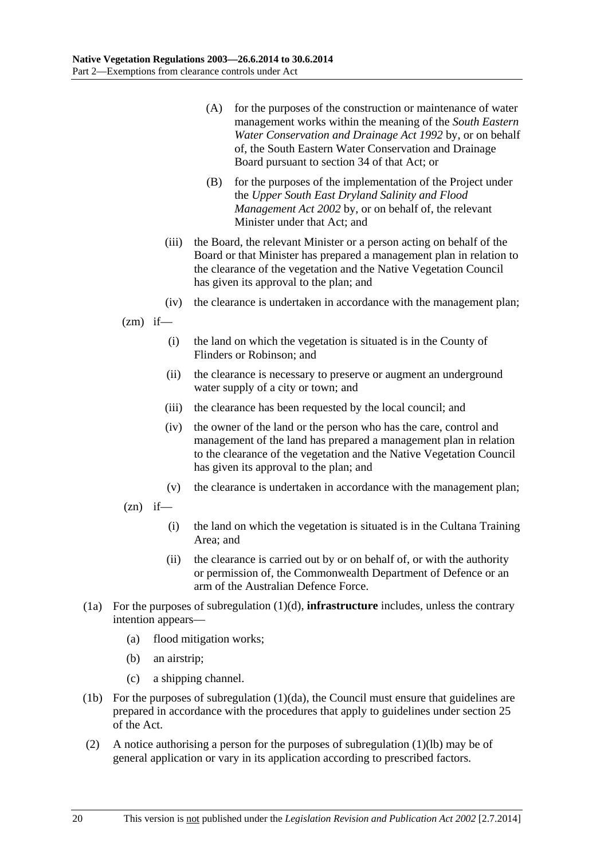- (A) for the purposes of the construction or maintenance of water management works within the meaning of the *South Eastern Water Conservation and Drainage Act 1992* by, or on behalf of, the South Eastern Water Conservation and Drainage Board pursuant to section 34 of that Act; or
- (B) for the purposes of the implementation of the Project under the *Upper South East Dryland Salinity and Flood Management Act 2002* by, or on behalf of, the relevant Minister under that Act; and
- (iii) the Board, the relevant Minister or a person acting on behalf of the Board or that Minister has prepared a management plan in relation to the clearance of the vegetation and the Native Vegetation Council has given its approval to the plan; and
- (iv) the clearance is undertaken in accordance with the management plan;

 $(zm)$  if—

- (i) the land on which the vegetation is situated is in the County of Flinders or Robinson; and
- (ii) the clearance is necessary to preserve or augment an underground water supply of a city or town; and
- (iii) the clearance has been requested by the local council; and
- (iv) the owner of the land or the person who has the care, control and management of the land has prepared a management plan in relation to the clearance of the vegetation and the Native Vegetation Council has given its approval to the plan; and
- (v) the clearance is undertaken in accordance with the management plan;
- $(zn)$  if—
	- (i) the land on which the vegetation is situated is in the Cultana Training Area; and
	- (ii) the clearance is carried out by or on behalf of, or with the authority or permission of, the Commonwealth Department of Defence or an arm of the Australian Defence Force.
- (1a) For the purposes of subregulation (1)(d), **infrastructure** includes, unless the contrary intention appears—
	- (a) flood mitigation works;
	- (b) an airstrip;
	- (c) a shipping channel.
- (1b) For the purposes of subregulation (1)(da), the Council must ensure that guidelines are prepared in accordance with the procedures that apply to guidelines under section 25 of the Act.
- (2) A notice authorising a person for the purposes of subregulation (1)(lb) may be of general application or vary in its application according to prescribed factors.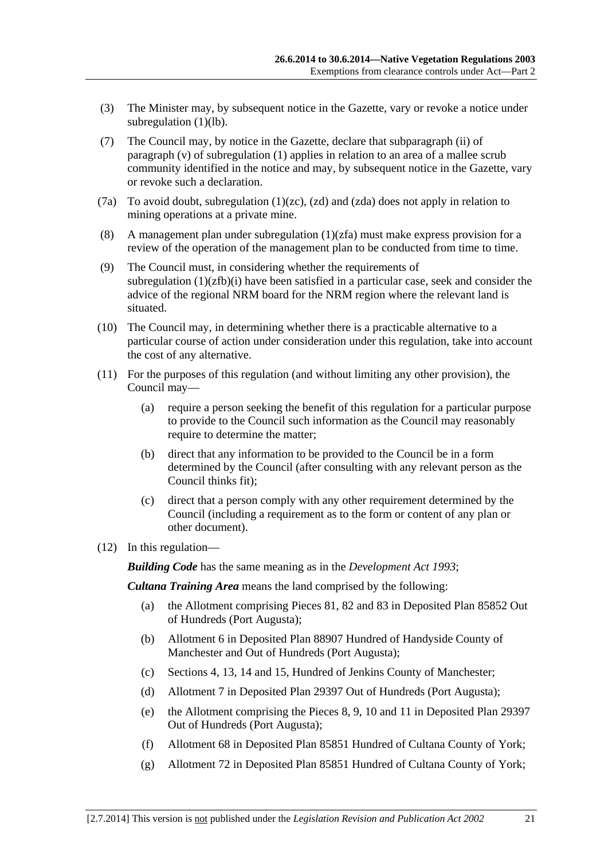- (3) The Minister may, by subsequent notice in the Gazette, vary or revoke a notice under subregulation (1)(lb).
- (7) The Council may, by notice in the Gazette, declare that subparagraph (ii) of paragraph (v) of subregulation (1) applies in relation to an area of a mallee scrub community identified in the notice and may, by subsequent notice in the Gazette, vary or revoke such a declaration.
- (7a) To avoid doubt, subregulation  $(1)(zc)$ ,  $(zd)$  and  $(zda)$  does not apply in relation to mining operations at a private mine.
- (8) A management plan under subregulation (1)(zfa) must make express provision for a review of the operation of the management plan to be conducted from time to time.
- (9) The Council must, in considering whether the requirements of subregulation  $(1)(zfb)(i)$  have been satisfied in a particular case, seek and consider the advice of the regional NRM board for the NRM region where the relevant land is situated.
- (10) The Council may, in determining whether there is a practicable alternative to a particular course of action under consideration under this regulation, take into account the cost of any alternative.
- (11) For the purposes of this regulation (and without limiting any other provision), the Council may—
	- (a) require a person seeking the benefit of this regulation for a particular purpose to provide to the Council such information as the Council may reasonably require to determine the matter;
	- (b) direct that any information to be provided to the Council be in a form determined by the Council (after consulting with any relevant person as the Council thinks fit);
	- (c) direct that a person comply with any other requirement determined by the Council (including a requirement as to the form or content of any plan or other document).
- (12) In this regulation—

*Building Code* has the same meaning as in the *Development Act 1993*;

*Cultana Training Area* means the land comprised by the following:

- (a) the Allotment comprising Pieces 81, 82 and 83 in Deposited Plan 85852 Out of Hundreds (Port Augusta);
- (b) Allotment 6 in Deposited Plan 88907 Hundred of Handyside County of Manchester and Out of Hundreds (Port Augusta);
- (c) Sections 4, 13, 14 and 15, Hundred of Jenkins County of Manchester;
- (d) Allotment 7 in Deposited Plan 29397 Out of Hundreds (Port Augusta);
- (e) the Allotment comprising the Pieces 8, 9, 10 and 11 in Deposited Plan 29397 Out of Hundreds (Port Augusta);
- (f) Allotment 68 in Deposited Plan 85851 Hundred of Cultana County of York;
- (g) Allotment 72 in Deposited Plan 85851 Hundred of Cultana County of York;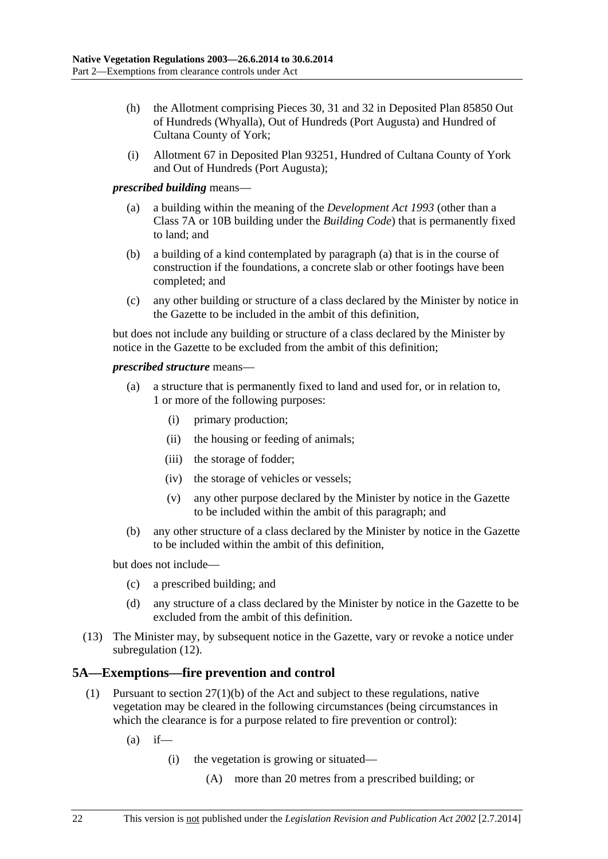- <span id="page-21-0"></span> (h) the Allotment comprising Pieces 30, 31 and 32 in Deposited Plan 85850 Out of Hundreds (Whyalla), Out of Hundreds (Port Augusta) and Hundred of Cultana County of York;
- (i) Allotment 67 in Deposited Plan 93251, Hundred of Cultana County of York and Out of Hundreds (Port Augusta);

#### *prescribed building* means—

- (a) a building within the meaning of the *Development Act 1993* (other than a Class 7A or 10B building under the *Building Code*) that is permanently fixed to land; and
- (b) a building of a kind contemplated by paragraph (a) that is in the course of construction if the foundations, a concrete slab or other footings have been completed; and
- (c) any other building or structure of a class declared by the Minister by notice in the Gazette to be included in the ambit of this definition,

but does not include any building or structure of a class declared by the Minister by notice in the Gazette to be excluded from the ambit of this definition;

#### *prescribed structure* means—

- (a) a structure that is permanently fixed to land and used for, or in relation to, 1 or more of the following purposes:
	- (i) primary production;
	- (ii) the housing or feeding of animals;
	- (iii) the storage of fodder;
	- (iv) the storage of vehicles or vessels;
	- (v) any other purpose declared by the Minister by notice in the Gazette to be included within the ambit of this paragraph; and
- (b) any other structure of a class declared by the Minister by notice in the Gazette to be included within the ambit of this definition,

but does not include—

- (c) a prescribed building; and
- (d) any structure of a class declared by the Minister by notice in the Gazette to be excluded from the ambit of this definition.
- (13) The Minister may, by subsequent notice in the Gazette, vary or revoke a notice under subregulation (12).

### **5A—Exemptions—fire prevention and control**

- (1) Pursuant to section 27(1)(b) of the Act and subject to these regulations, native vegetation may be cleared in the following circumstances (being circumstances in which the clearance is for a purpose related to fire prevention or control):
	- $(a)$  if—
		- (i) the vegetation is growing or situated—
			- (A) more than 20 metres from a prescribed building; or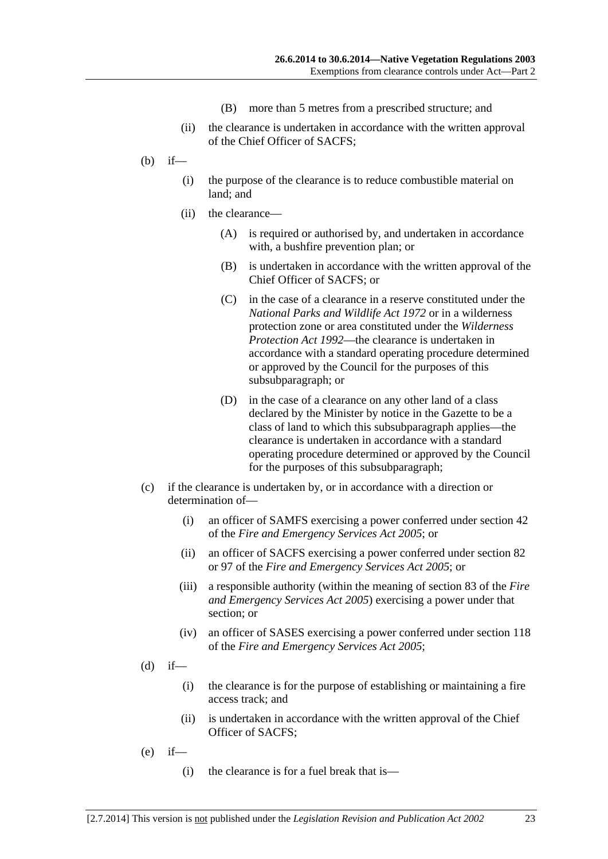- (B) more than 5 metres from a prescribed structure; and
- (ii) the clearance is undertaken in accordance with the written approval of the Chief Officer of SACFS;
- (b) if—
	- (i) the purpose of the clearance is to reduce combustible material on land; and
	- (ii) the clearance—
		- (A) is required or authorised by, and undertaken in accordance with, a bushfire prevention plan; or
		- (B) is undertaken in accordance with the written approval of the Chief Officer of SACFS; or
		- (C) in the case of a clearance in a reserve constituted under the *National Parks and Wildlife Act 1972* or in a wilderness protection zone or area constituted under the *Wilderness Protection Act 1992*—the clearance is undertaken in accordance with a standard operating procedure determined or approved by the Council for the purposes of this subsubparagraph; or
		- (D) in the case of a clearance on any other land of a class declared by the Minister by notice in the Gazette to be a class of land to which this subsubparagraph applies—the clearance is undertaken in accordance with a standard operating procedure determined or approved by the Council for the purposes of this subsubparagraph;
- (c) if the clearance is undertaken by, or in accordance with a direction or determination of—
	- (i) an officer of SAMFS exercising a power conferred under section 42 of the *Fire and Emergency Services Act 2005*; or
	- (ii) an officer of SACFS exercising a power conferred under section 82 or 97 of the *Fire and Emergency Services Act 2005*; or
	- (iii) a responsible authority (within the meaning of section 83 of the *Fire and Emergency Services Act 2005*) exercising a power under that section; or
	- (iv) an officer of SASES exercising a power conferred under section 118 of the *Fire and Emergency Services Act 2005*;
- $(d)$  if—
	- (i) the clearance is for the purpose of establishing or maintaining a fire access track; and
	- (ii) is undertaken in accordance with the written approval of the Chief Officer of SACFS;
- $(e)$  if—
	- (i) the clearance is for a fuel break that is—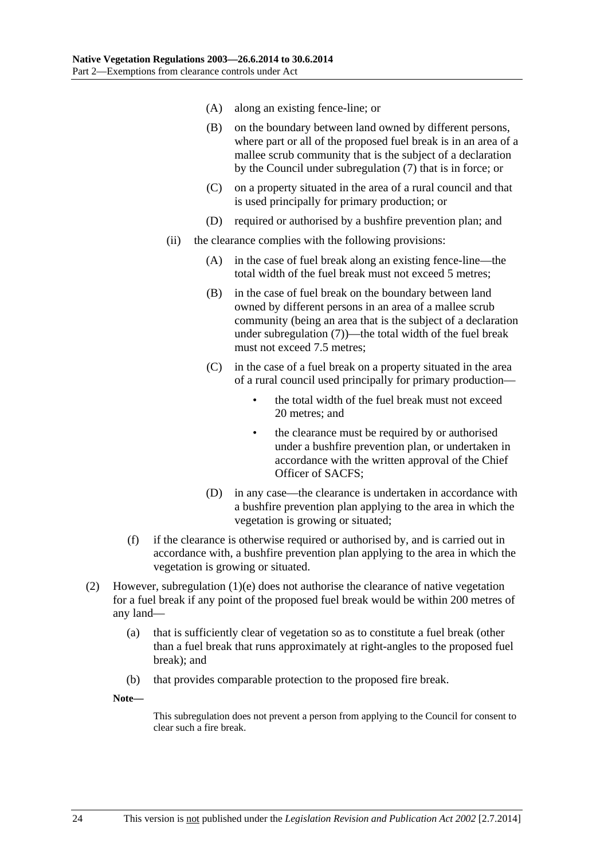- (A) along an existing fence-line; or
- (B) on the boundary between land owned by different persons, where part or all of the proposed fuel break is in an area of a mallee scrub community that is the subject of a declaration by the Council under subregulation (7) that is in force; or
- (C) on a property situated in the area of a rural council and that is used principally for primary production; or
- (D) required or authorised by a bushfire prevention plan; and
- (ii) the clearance complies with the following provisions:
	- (A) in the case of fuel break along an existing fence-line—the total width of the fuel break must not exceed 5 metres;
	- (B) in the case of fuel break on the boundary between land owned by different persons in an area of a mallee scrub community (being an area that is the subject of a declaration under subregulation (7))—the total width of the fuel break must not exceed 7.5 metres:
	- (C) in the case of a fuel break on a property situated in the area of a rural council used principally for primary production
		- the total width of the fuel break must not exceed 20 metres; and
		- the clearance must be required by or authorised under a bushfire prevention plan, or undertaken in accordance with the written approval of the Chief Officer of SACFS;
	- (D) in any case—the clearance is undertaken in accordance with a bushfire prevention plan applying to the area in which the vegetation is growing or situated;
- (f) if the clearance is otherwise required or authorised by, and is carried out in accordance with, a bushfire prevention plan applying to the area in which the vegetation is growing or situated.
- (2) However, subregulation  $(1)(e)$  does not authorise the clearance of native vegetation for a fuel break if any point of the proposed fuel break would be within 200 metres of any land—
	- (a) that is sufficiently clear of vegetation so as to constitute a fuel break (other than a fuel break that runs approximately at right-angles to the proposed fuel break); and
	- (b) that provides comparable protection to the proposed fire break.

**Note—** 

This subregulation does not prevent a person from applying to the Council for consent to clear such a fire break.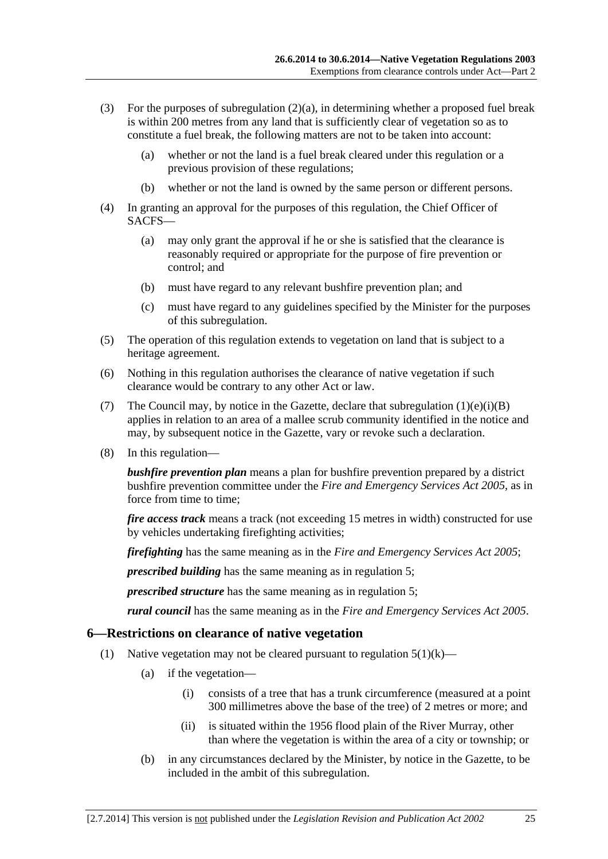- <span id="page-24-0"></span>(3) For the purposes of subregulation  $(2)(a)$ , in determining whether a proposed fuel break is within 200 metres from any land that is sufficiently clear of vegetation so as to constitute a fuel break, the following matters are not to be taken into account:
	- (a) whether or not the land is a fuel break cleared under this regulation or a previous provision of these regulations;
	- (b) whether or not the land is owned by the same person or different persons.
- (4) In granting an approval for the purposes of this regulation, the Chief Officer of SACFS—
	- (a) may only grant the approval if he or she is satisfied that the clearance is reasonably required or appropriate for the purpose of fire prevention or control; and
	- (b) must have regard to any relevant bushfire prevention plan; and
	- (c) must have regard to any guidelines specified by the Minister for the purposes of this subregulation.
- (5) The operation of this regulation extends to vegetation on land that is subject to a heritage agreement.
- (6) Nothing in this regulation authorises the clearance of native vegetation if such clearance would be contrary to any other Act or law.
- (7) The Council may, by notice in the Gazette, declare that subregulation  $(1)(e)(i)(B)$ applies in relation to an area of a mallee scrub community identified in the notice and may, by subsequent notice in the Gazette, vary or revoke such a declaration.
- (8) In this regulation—

*bushfire prevention plan* means a plan for bushfire prevention prepared by a district bushfire prevention committee under the *Fire and Emergency Services Act 2005*, as in force from time to time;

*fire access track* means a track (not exceeding 15 metres in width) constructed for use by vehicles undertaking firefighting activities;

*firefighting* has the same meaning as in the *Fire and Emergency Services Act 2005*;

*prescribed building* has the same meaning as in regulation 5;

*prescribed structure* has the same meaning as in regulation 5;

*rural council* has the same meaning as in the *Fire and Emergency Services Act 2005*.

#### **6—Restrictions on clearance of native vegetation**

- (1) Native vegetation may not be cleared pursuant to regulation  $5(1)(k)$ 
	- (a) if the vegetation—
		- (i) consists of a tree that has a trunk circumference (measured at a point 300 millimetres above the base of the tree) of 2 metres or more; and
		- (ii) is situated within the 1956 flood plain of the River Murray, other than where the vegetation is within the area of a city or township; or
	- (b) in any circumstances declared by the Minister, by notice in the Gazette, to be included in the ambit of this subregulation.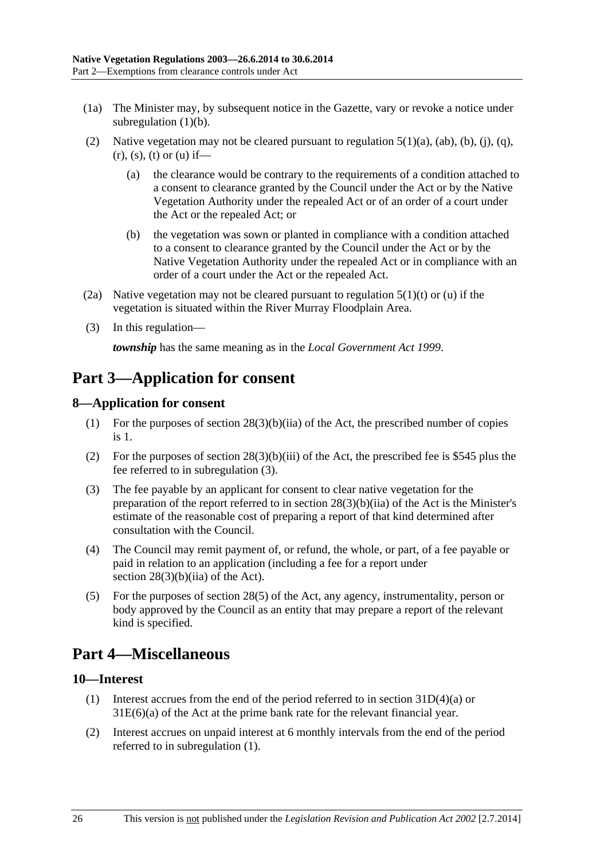- <span id="page-25-0"></span> (1a) The Minister may, by subsequent notice in the Gazette, vary or revoke a notice under subregulation  $(1)(b)$ .
- (2) Native vegetation may not be cleared pursuant to regulation  $5(1)(a)$ ,  $(ab)$ ,  $(b)$ ,  $(i)$ ,  $(q)$ ,  $(r)$ , (s), (t) or (u) if—
	- (a) the clearance would be contrary to the requirements of a condition attached to a consent to clearance granted by the Council under the Act or by the Native Vegetation Authority under the repealed Act or of an order of a court under the Act or the repealed Act; or
	- (b) the vegetation was sown or planted in compliance with a condition attached to a consent to clearance granted by the Council under the Act or by the Native Vegetation Authority under the repealed Act or in compliance with an order of a court under the Act or the repealed Act.
- (2a) Native vegetation may not be cleared pursuant to regulation  $5(1)(t)$  or (u) if the vegetation is situated within the River Murray Floodplain Area.
- (3) In this regulation—

*township* has the same meaning as in the *Local Government Act 1999*.

## **Part 3—Application for consent**

### **8—Application for consent**

- (1) For the purposes of section 28(3)(b)(iia) of the Act, the prescribed number of copies is 1.
- (2) For the purposes of section  $28(3)(b)(iii)$  of the Act, the prescribed fee is \$545 plus the fee referred to in subregulation (3).
- (3) The fee payable by an applicant for consent to clear native vegetation for the preparation of the report referred to in section  $28(3)(b)(ii)$  of the Act is the Minister's estimate of the reasonable cost of preparing a report of that kind determined after consultation with the Council.
- (4) The Council may remit payment of, or refund, the whole, or part, of a fee payable or paid in relation to an application (including a fee for a report under section  $28(3)(b)(iia)$  of the Act).
- (5) For the purposes of section 28(5) of the Act, any agency, instrumentality, person or body approved by the Council as an entity that may prepare a report of the relevant kind is specified.

## **Part 4—Miscellaneous**

### **10—Interest**

- (1) Interest accrues from the end of the period referred to in section 31D(4)(a) or 31E(6)(a) of the Act at the prime bank rate for the relevant financial year.
- (2) Interest accrues on unpaid interest at 6 monthly intervals from the end of the period referred to in subregulation (1).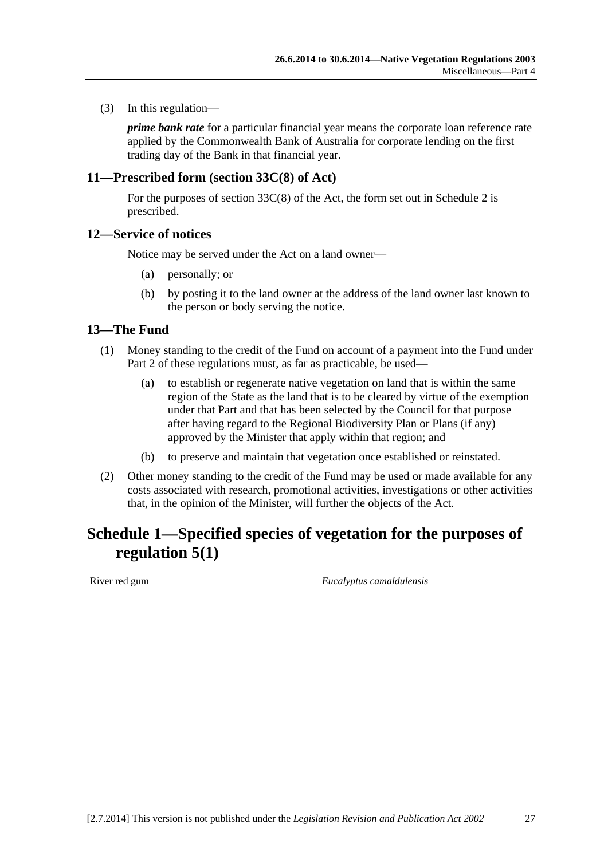<span id="page-26-0"></span>(3) In this regulation—

*prime bank rate* for a particular financial year means the corporate loan reference rate applied by the Commonwealth Bank of Australia for corporate lending on the first trading day of the Bank in that financial year.

#### **11—Prescribed form (section 33C(8) of Act)**

For the purposes of section 33C(8) of the Act, the form set out in Schedule 2 is prescribed.

#### **12—Service of notices**

Notice may be served under the Act on a land owner—

- (a) personally; or
- (b) by posting it to the land owner at the address of the land owner last known to the person or body serving the notice.

#### **13—The Fund**

- (1) Money standing to the credit of the Fund on account of a payment into the Fund under Part 2 of these regulations must, as far as practicable, be used—
	- (a) to establish or regenerate native vegetation on land that is within the same region of the State as the land that is to be cleared by virtue of the exemption under that Part and that has been selected by the Council for that purpose after having regard to the Regional Biodiversity Plan or Plans (if any) approved by the Minister that apply within that region; and
	- (b) to preserve and maintain that vegetation once established or reinstated.
- (2) Other money standing to the credit of the Fund may be used or made available for any costs associated with research, promotional activities, investigations or other activities that, in the opinion of the Minister, will further the objects of the Act.

# **Schedule 1—Specified species of vegetation for the purposes of regulation 5(1)**

River red gum *Eucalyptus camaldulensis*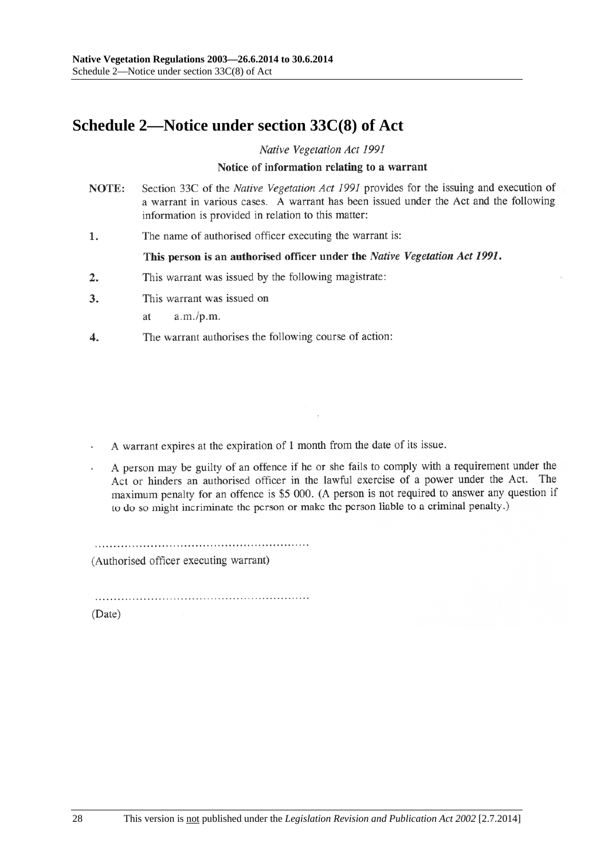## **Schedule 2—Notice under section 33C(8) of Act**

Native Vegetation Act 1991

#### Notice of information relating to a warrant

- NOTE: Section 33C of the Native Vegetation Act 1991 provides for the issuing and execution of a warrant in various cases. A warrant has been issued under the Act and the following information is provided in relation to this matter:
- The name of authorised officer executing the warrant is: 1.

#### This person is an authorised officer under the Native Vegetation Act 1991.

- This warrant was issued by the following magistrate:  $2.$
- $3.$ This warrant was issued on
	- $a.m./p.m.$ at
- The warrant authorises the following course of action: 4.

A warrant expires at the expiration of 1 month from the date of its issue.

A person may be guilty of an offence if he or she fails to comply with a requirement under the Act or hinders an authorised officer in the lawful exercise of a power under the Act. The maximum penalty for an offence is \$5 000. (A person is not required to answer any question if to do so might incriminate the person or make the person liable to a criminal penalty.)

(Authorised officer executing warrant)

(Date)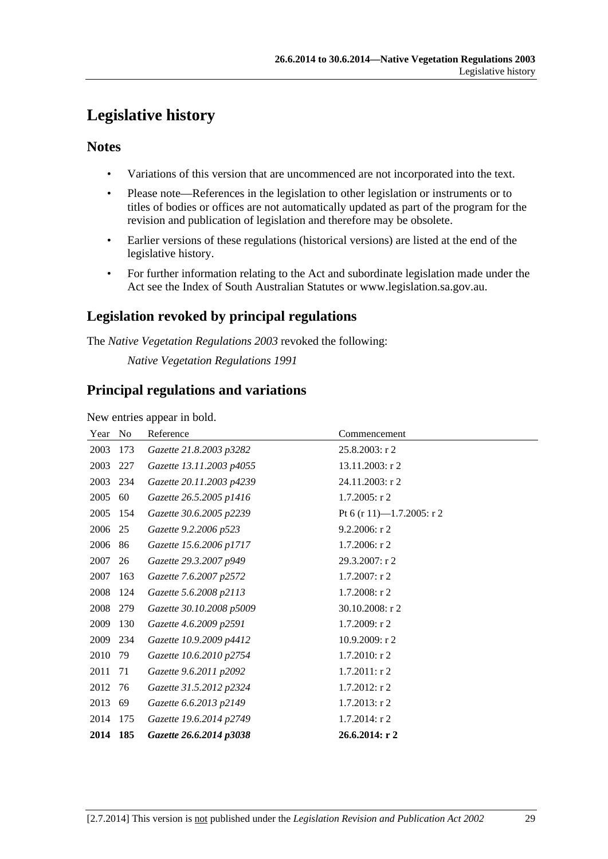# **Legislative history**

### **Notes**

- Variations of this version that are uncommenced are not incorporated into the text.
- Please note—References in the legislation to other legislation or instruments or to titles of bodies or offices are not automatically updated as part of the program for the revision and publication of legislation and therefore may be obsolete.
- Earlier versions of these regulations (historical versions) are listed at the end of the legislative history.
- For further information relating to the Act and subordinate legislation made under the Act see the Index of South Australian Statutes or www.legislation.sa.gov.au.

## **Legislation revoked by principal regulations**

The *Native Vegetation Regulations 2003* revoked the following:

*Native Vegetation Regulations 1991*

## **Principal regulations and variations**

New entries appear in bold.

| Year | No  | Reference                | Commencement              |
|------|-----|--------------------------|---------------------------|
| 2003 | 173 | Gazette 21.8.2003 p3282  | $25.8.2003$ : r 2         |
| 2003 | 227 | Gazette 13.11.2003 p4055 | 13.11.2003: r 2           |
| 2003 | 234 | Gazette 20.11.2003 p4239 | 24.11.2003: r 2           |
| 2005 | 60  | Gazette 26.5.2005 p1416  | $1.7.2005$ : r 2          |
| 2005 | 154 | Gazette 30.6.2005 p2239  | Pt 6 (r 11)-1.7.2005: r 2 |
| 2006 | 25  | Gazette 9.2.2006 p523    | 9.2.2006: r 2             |
| 2006 | 86  | Gazette 15.6.2006 p1717  | 1.7.2006: r 2             |
| 2007 | 26  | Gazette 29.3.2007 p949   | 29.3.2007: r 2            |
| 2007 | 163 | Gazette 7.6.2007 p2572   | $1.7.2007:$ r 2           |
| 2008 | 124 | Gazette 5.6.2008 p2113   | 1.7.2008: r 2             |
| 2008 | 279 | Gazette 30.10.2008 p5009 | 30.10.2008: r 2           |
| 2009 | 130 | Gazette 4.6.2009 p2591   | 1.7.2009: r2              |
| 2009 | 234 | Gazette 10.9.2009 p4412  | 10.9.2009: $r$ 2          |
| 2010 | 79  | Gazette 10.6.2010 p2754  | $1.7.2010$ : r 2          |
| 2011 | 71  | Gazette 9.6.2011 p2092   | $1.7.2011:$ r 2           |
| 2012 | 76  | Gazette 31.5.2012 p2324  | $1.7.2012$ : r 2          |
| 2013 | 69  | Gazette 6.6.2013 p2149   | $1.7.2013$ : r 2          |
| 2014 | 175 | Gazette 19.6.2014 p2749  | $1.7.2014$ : r 2          |
| 2014 | 185 | Gazette 26.6.2014 p3038  | 26.6.2014: r 2            |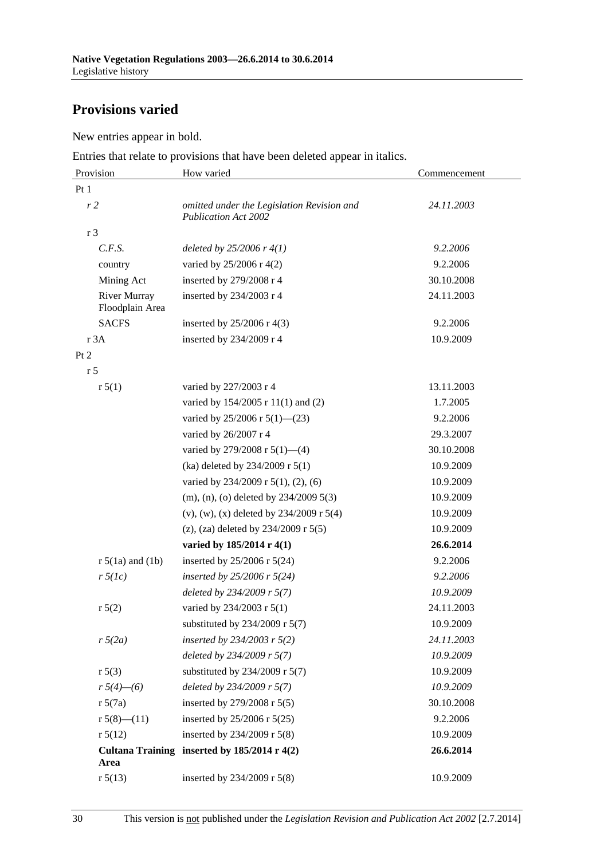## **Provisions varied**

New entries appear in bold.

Entries that relate to provisions that have been deleted appear in italics.

| Provision                              | How varied                                                                | Commencement |  |
|----------------------------------------|---------------------------------------------------------------------------|--------------|--|
| Pt1                                    |                                                                           |              |  |
| r <sub>2</sub>                         | omitted under the Legislation Revision and<br><b>Publication Act 2002</b> | 24.11.2003   |  |
| r 3                                    |                                                                           |              |  |
| C.F.S.                                 | deleted by $25/2006$ r $4(1)$                                             | 9.2.2006     |  |
| country                                | varied by 25/2006 r 4(2)                                                  | 9.2.2006     |  |
| Mining Act                             | inserted by 279/2008 r 4                                                  | 30.10.2008   |  |
| <b>River Murray</b><br>Floodplain Area | inserted by 234/2003 r 4                                                  | 24.11.2003   |  |
| <b>SACFS</b>                           | inserted by $25/2006$ r 4(3)                                              | 9.2.2006     |  |
| r 3A                                   | inserted by 234/2009 r 4                                                  | 10.9.2009    |  |
| Pt 2                                   |                                                                           |              |  |
| r <sub>5</sub>                         |                                                                           |              |  |
| r 5(1)                                 | varied by 227/2003 r 4                                                    | 13.11.2003   |  |
|                                        | varied by 154/2005 r 11(1) and (2)                                        | 1.7.2005     |  |
|                                        | varied by 25/2006 r 5(1)-(23)                                             | 9.2.2006     |  |
|                                        | varied by 26/2007 r 4                                                     | 29.3.2007    |  |
|                                        | varied by 279/2008 r 5(1)-(4)                                             | 30.10.2008   |  |
|                                        | (ka) deleted by 234/2009 r 5(1)                                           | 10.9.2009    |  |
|                                        | varied by $234/2009$ r $5(1)$ , $(2)$ , $(6)$                             | 10.9.2009    |  |
|                                        | $(m)$ , $(n)$ , $(o)$ deleted by 234/2009 5(3)                            | 10.9.2009    |  |
|                                        | $(v)$ , $(w)$ , $(x)$ deleted by 234/2009 r 5(4)                          | 10.9.2009    |  |
|                                        | (z), (za) deleted by $234/2009$ r $5(5)$                                  | 10.9.2009    |  |
|                                        | varied by 185/2014 r 4(1)                                                 | 26.6.2014    |  |
| $r 5(1a)$ and $(1b)$                   | inserted by $25/2006$ r $5(24)$                                           | 9.2.2006     |  |
| $r \, 5(lc)$                           | inserted by $25/2006$ r $5(24)$                                           | 9.2.2006     |  |
|                                        | deleted by 234/2009 r 5(7)                                                | 10.9.2009    |  |
| r 5(2)                                 | varied by 234/2003 r 5(1)                                                 | 24.11.2003   |  |
|                                        | substituted by 234/2009 r 5(7)                                            | 10.9.2009    |  |
| $r\sqrt{5(2a)}$                        | inserted by $234/2003$ r $5(2)$                                           | 24.11.2003   |  |
|                                        | deleted by 234/2009 r 5(7)                                                | 10.9.2009    |  |
| r 5(3)                                 | substituted by $234/2009$ r 5(7)                                          | 10.9.2009    |  |
| $r 5(4)$ - (6)                         | deleted by 234/2009 r 5(7)                                                | 10.9.2009    |  |
| r 5(7a)                                | inserted by 279/2008 r 5(5)                                               | 30.10.2008   |  |
| r $5(8)$ — $(11)$                      | inserted by 25/2006 r 5(25)                                               | 9.2.2006     |  |
| r 5(12)                                | inserted by 234/2009 r 5(8)                                               | 10.9.2009    |  |
| Area                                   | Cultana Training inserted by $185/2014$ r $4(2)$                          | 26.6.2014    |  |
| r 5(13)                                | inserted by 234/2009 r 5(8)                                               | 10.9.2009    |  |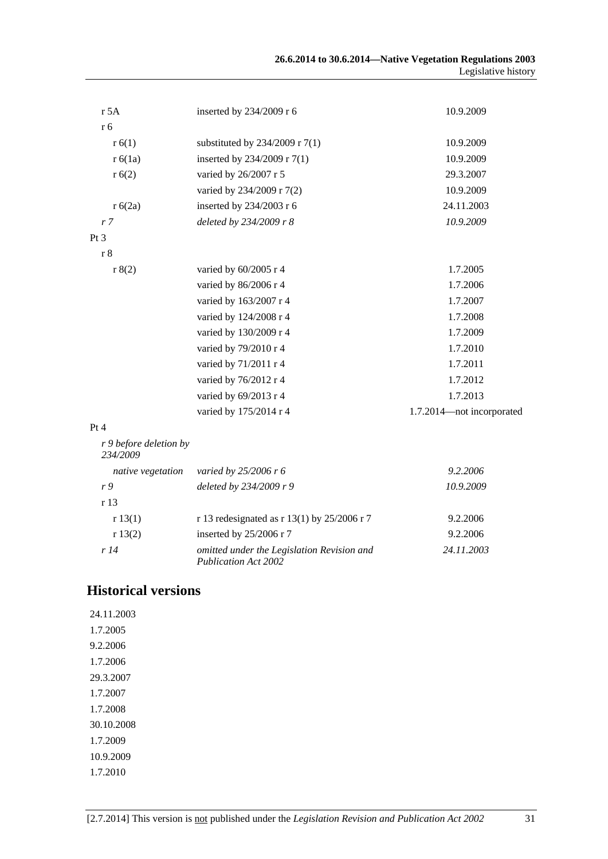| 26.6.2014 to 30.6.2014—Native Vegetation Regulations 2003 |                     |
|-----------------------------------------------------------|---------------------|
|                                                           | Legislative history |

| r 5A                               | inserted by 234/2009 r 6                                                  | 10.9.2009                 |
|------------------------------------|---------------------------------------------------------------------------|---------------------------|
| r 6                                |                                                                           |                           |
| r(6(1))                            | substituted by $234/2009$ r 7(1)                                          | 10.9.2009                 |
| r 6(1a)                            | inserted by 234/2009 r 7(1)                                               | 10.9.2009                 |
| r(6(2)                             | varied by 26/2007 r 5                                                     | 29.3.2007                 |
|                                    | varied by 234/2009 r 7(2)                                                 | 10.9.2009                 |
| r 6(2a)                            | inserted by 234/2003 r 6                                                  | 24.11.2003                |
| r <sub>7</sub>                     | deleted by 234/2009 r 8                                                   | 10.9.2009                 |
| Pt 3                               |                                                                           |                           |
| r 8                                |                                                                           |                           |
| r 8(2)                             | varied by $60/2005$ r 4                                                   | 1.7.2005                  |
|                                    | varied by 86/2006 r 4                                                     | 1.7.2006                  |
|                                    | varied by 163/2007 r 4                                                    | 1.7.2007                  |
|                                    | varied by 124/2008 r 4                                                    | 1.7.2008                  |
|                                    | varied by 130/2009 r 4                                                    | 1.7.2009                  |
|                                    | varied by 79/2010 r 4                                                     | 1.7.2010                  |
|                                    | varied by 71/2011 r 4                                                     | 1.7.2011                  |
|                                    | varied by 76/2012 r 4                                                     | 1.7.2012                  |
|                                    | varied by 69/2013 r 4                                                     | 1.7.2013                  |
|                                    | varied by 175/2014 r 4                                                    | 1.7.2014-not incorporated |
| Pt 4                               |                                                                           |                           |
| r 9 before deletion by<br>234/2009 |                                                                           |                           |
| native vegetation                  | varied by $25/2006$ r 6                                                   | 9.2.2006                  |
| r9                                 | deleted by 234/2009 r 9                                                   | 10.9.2009                 |
| r 13                               |                                                                           |                           |
| r 13(1)                            | r 13 redesignated as r 13(1) by $25/2006$ r 7                             | 9.2.2006                  |
| r 13(2)                            | inserted by 25/2006 r 7                                                   | 9.2.2006                  |
| r14                                | omitted under the Legislation Revision and<br><b>Publication Act 2002</b> | 24.11.2003                |

## **Historical versions**

24.11.2003 1.7.2005 9.2.2006 1.7.2006 29.3.2007 1.7.2007 1.7.2008 30.10.2008 1.7.2009 10.9.2009 1.7.2010